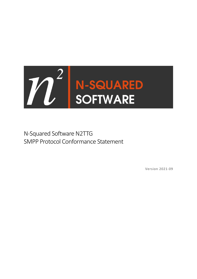

N-Squared Software N2TTG SMPP Protocol Conformance Statement

Version 2021-09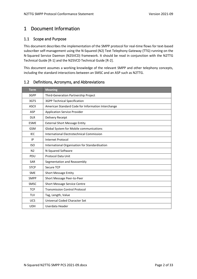# <span id="page-1-0"></span>1 Document Information

## <span id="page-1-1"></span>1.1 Scope and Purpose

This document describes the implementation of the SMPP protocol for real-time flows for text-based subscriber self-management using the N-Squared (N2) Text Telephony Gateway (TTG) running on the N-Squared Service Daemon (N2SVCD) framework. It should be read in conjunction with the N2TTG Technical Guide [R-1] and the N2SVCD Technical Guide [R-2].

This document assumes a working knowledge of the relevant SMPP and other telephony concepts, including the standard interactions between an SMSC and an ASP such as N2TTG.

| <b>Term</b>    | <b>Meaning</b>                                     |
|----------------|----------------------------------------------------|
| 3GPP           | Third-Generation Partnership Project               |
| 3GTS           | <b>3GPP Technical Specification</b>                |
| <b>ASCII</b>   | American Standard Code for Information Interchange |
| <b>ASP</b>     | <b>Application Service Provider</b>                |
| <b>DLR</b>     | Delivery Receipt                                   |
| <b>ESME</b>    | <b>External Short Message Entity</b>               |
| <b>GSM</b>     | Global System for Mobile communications            |
| <b>IEC</b>     | International Electrotechnical Commission          |
| IP             | <b>Internet Protocol</b>                           |
| <b>ISO</b>     | International Organisation for Standardisation     |
| N <sub>2</sub> | N-Squared Software                                 |
| PDU            | Protocol Data Unit                                 |
| <b>SAR</b>     | Segmentation and Reassembly                        |
| <b>STCP</b>    | Secure TCP                                         |
| <b>SME</b>     | <b>Short Message Entity</b>                        |
| <b>SMPP</b>    | Short Message Peer-to-Peer                         |
| <b>SMSC</b>    | <b>Short Message Service Centre</b>                |
| <b>TCP</b>     | <b>Transmission Control Protocol</b>               |
| <b>TLV</b>     | Tag, Length, Value                                 |
| <b>UCS</b>     | Universal Coded Character Set                      |
| <b>UDH</b>     | Userdata Header                                    |

## <span id="page-1-2"></span>1.2 Definitions, Acronyms, and Abbreviations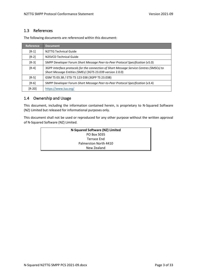## <span id="page-2-0"></span>1.3 References

The following documents are referenced within this document:

| Reference | <b>Document</b>                                                                                                                                      |
|-----------|------------------------------------------------------------------------------------------------------------------------------------------------------|
| $[R-1]$   | N2TTG Technical Guide                                                                                                                                |
| $[R-2]$   | N2SVCD Technical Guide                                                                                                                               |
| $[R-3]$   | SMPP Developer Forum Short Message Peer-to-Peer Protocol Specification (v5.0)                                                                        |
| $[R-4]$   | 3GPP Interface protocols for the connection of Short Message Service Centres (SMSCs) to<br>Short Message Entities (SMEs) (3GTS 23.039 version 2.0.0) |
| $[R-5]$   | GSM TS 03.38 / ETSI TS 123 038 (3GPP TS 23.038)                                                                                                      |
| $[R-6]$   | SMPP Developer Forum Short Message Peer-to-Peer Protocol Specification (v3.4)                                                                        |
| $[R-20]$  | https://www.lua.org/                                                                                                                                 |

## <span id="page-2-1"></span>1.4 Ownership and Usage

This document, including the information contained herein, is proprietary to N-Squared Software (NZ) Limited but released for informational purposes only.

This document shall not be used or reproduced for any other purpose without the written approval of N-Squared Software (NZ) Limited.

| N-Squared Software (NZ) Limited |  |
|---------------------------------|--|
| PO Box 5035                     |  |
| Terrace End                     |  |
| Palmerston North 4410           |  |
| New Zealand                     |  |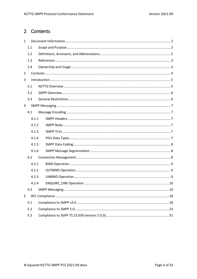# <span id="page-3-0"></span>2 Contents

| $\mathbf{1}$   |       |  |  |  |  |  |  |
|----------------|-------|--|--|--|--|--|--|
|                | 1.1   |  |  |  |  |  |  |
|                | 1.2   |  |  |  |  |  |  |
|                | 1.3   |  |  |  |  |  |  |
|                | 1.4   |  |  |  |  |  |  |
| $\overline{2}$ |       |  |  |  |  |  |  |
| 3              |       |  |  |  |  |  |  |
|                | 3.1   |  |  |  |  |  |  |
|                | 3.2   |  |  |  |  |  |  |
|                | 3.3   |  |  |  |  |  |  |
| 4              |       |  |  |  |  |  |  |
|                | 4.1   |  |  |  |  |  |  |
|                | 4.1.1 |  |  |  |  |  |  |
|                | 4.1.2 |  |  |  |  |  |  |
|                | 4.1.3 |  |  |  |  |  |  |
|                | 4.1.4 |  |  |  |  |  |  |
|                | 4.1.5 |  |  |  |  |  |  |
|                | 4.1.6 |  |  |  |  |  |  |
|                | 4.2   |  |  |  |  |  |  |
|                | 4.2.1 |  |  |  |  |  |  |
|                | 4.2.2 |  |  |  |  |  |  |
|                | 4.2.3 |  |  |  |  |  |  |
|                | 4.2.4 |  |  |  |  |  |  |
|                | 4.3   |  |  |  |  |  |  |
| 5              |       |  |  |  |  |  |  |
|                | 5.1   |  |  |  |  |  |  |
|                | 5.2   |  |  |  |  |  |  |
|                | 5.3   |  |  |  |  |  |  |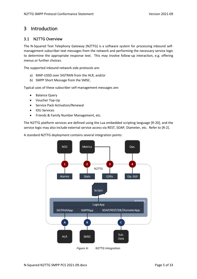# <span id="page-4-0"></span>3 Introduction

## <span id="page-4-1"></span>3.1 N2TTG Overview

The N-Squared Text Telephony Gateway (N2TTG) is a software system for processing inbound selfmanagement subscriber text messages from the network and performing the necessary service logic to determine the appropriate response text. This may involve follow-up interaction, e.g. offering menus or further choices.

The supported inbound network side protocols are:

- a) MAP-USSD over SIGTRAN from the HLR, and/or
- b) SMPP Short Message from the SMSC.

Typical uses of these subscriber self-management messages are:

- Balance Query
- Voucher Top-Up
- Service Pack Activation/Renewal
- IOU Services
- Friends & Family Number Management, etc.

The N2TTG platform services are defined using the Lua embedded scripting language [R-20], and the service logic may also include external service access via REST, SOAP, Diameter, etc. Refer to [R-2].

A standard N2TTG deployment contains several integration points:



*Figure A: N2TTG Integration*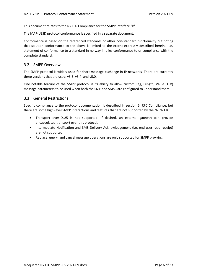This document relates to the N2TTG Compliance for the SMPP Interface "B".

The MAP-USSD protocol conformance is specified in a separate document.

Conformance is based on the referenced standards or other non-standard functionality but noting that solution conformance to the above is limited to the extent expressly described herein. I.e. statement of conformance to a standard in no way implies conformance to or compliance with the complete standard.

## <span id="page-5-0"></span>3.2 SMPP Overview

The SMPP protocol is widely used for short message exchange in IP networks. There are currently three versions that are used: v3.3, v3.4, and v5.0.

One notable feature of the SMPP protocol is its ability to allow custom Tag, Length, Value (TLV) message parameters to be used when both the SME and SMSC are configured to understand them.

#### <span id="page-5-1"></span>3.3 General Restrictions

Specific compliance to the protocol documentation is described in section [5: RFC Compliance,](#page-17-0) but there are some high-level SMPP interactions and features that are not supported by the N2 N2TTG:

- Transport over X.25 is not supported. If desired, an external gateway can provide encapsulated transport over this protocol.
- Intermediate Notification and SME Delivery Acknowledgement (i.e. end-user read receipt) are not supported.
- Replace, query, and cancel message operations are only supported for SMPP proxying.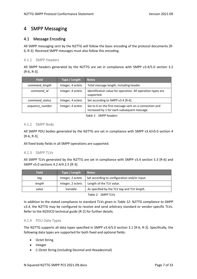# <span id="page-6-0"></span>4 SMPP Messaging

## <span id="page-6-1"></span>4.1 Message Encoding

All SMPP messaging sent by the N2TTG will follow the basic encoding of the protocol documents [R-6, R-3]. Received SMPP messages must also follow this encoding.

#### <span id="page-6-2"></span>4.1.1 SMPP Headers

All SMPP headers generated by the N2TTG are set in compliance with SMPP v3.4/5.0 section 3.2 [R-6, R-3].

| <b>Field</b>                    | Type / Length     | <b>Notes</b>                                                                                          |
|---------------------------------|-------------------|-------------------------------------------------------------------------------------------------------|
| command length                  | Integer, 4 octets | Total message length, including header.                                                               |
| command id<br>Integer, 4 octets |                   | Identification value for operation. All operation types are<br>supported.                             |
| command status                  | Integer, 4 octets | Set according to SMPP v3.4 [R-6].                                                                     |
| sequence number                 | Integer, 4 octets | Set to 0 on the first message sent on a connection and<br>increased by 1 for each subsequent message. |

*Table 1: SMPP headers*

#### <span id="page-6-3"></span>4.1.2 SMPP Body

All SMPP PDU bodies generated by the N2TTG are set in compliance with SMPP v3.4/v5.0 section 4 [R-6, R-3].

All fixed body fields in all SMPP operations are supported.

#### <span id="page-6-4"></span>4.1.3 SMPP TLVs

All SMPP TLVs generated by the N2TTG are set in compliance with SMPP v3.4 section 5.3 [R-6] and SMPP v5.0 sections 4.2.4/4.2.5 [R-3].

| <b>Field</b> | Type / Length     | <b>Notes</b>                                 |
|--------------|-------------------|----------------------------------------------|
| taq          | Integer, 2 octets | Set according to configuration and/or input. |
| length       | Integer, 2 octets | Length of the TLV value.                     |
| value        | Variable          | As specified by the TLV tag and TLV length.  |
|              |                   | Table 2: SMPP TLVs                           |

In addition to the stated compliance to standard TLVs given in *[Table 12:](#page-22-1) [N2TTG compliance to SMPP](#page-22-1)  [v3.4](#page-22-1)*, the N2TTG may be configured to receive and send arbitrary standard or vendor-specific TLVs. Refer to the N2SVCD technical guide [R-2] for further details.

#### <span id="page-6-5"></span>4.1.4 PDU Data Types

The N2TTG supports all data types specified in SMPP v3.4/5.0 section 3.1 [R-6, R-3]. Specifically, the following data types are supported for both fixed and optional fields:

- Octet String
- Integer
- C-Octet String (including Decimal and Hexadecimal)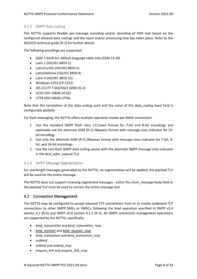#### <span id="page-7-0"></span>4.1.5 SMPP Data Coding

The N2TTG supports flexible per-message encoding and/or decoding of SMS text based on the configured allowed data codings and the input and/or processing that has taken place. Refer to the N2SVCD technical guide [R-2] for further details.

The following encodings are supported:

- GSM 7-bit/8-bit, default language table only (GSM 23.38)
- Latin 1 (ISO/IEC 8859-1)
- Latin/Cyrillic (ISO/IEC 8859-5)
- Latin/Hebrew (ISO/IEC 8859-8)
- Latin 9 (ISO/IEC 8859-15)
- Windows-1252 (CP-1252)
- IA5 (CCITT T.50)/ASCII (ANSI X3.4)
- UCS2 (ISO 10646-UCS2)
- UTF8 (ISO 10646-UTF8)

Note that the correlation of the data coding used and the value of the *data\_coding* fixed field is configurable globally.

For flash messaging, the N2TTG offers multiple operation modes per SMSC connection:

- 1. Use the standard SMPP flash class *1111xxxx* format for 7-bit and 8-bit encodings and optionally use the alternate GSM [R-5] *00xxxxxx* format with message class indicator for 16 bit encoding.
- 2. Use only the alternate GSM [R-5] *00xxxxxx* format with message class indicator for 7-bit, 8 bit, and 16-bit encodings.
- 3. Use the non-flash SMPP data coding values with the alternate SMPP message class indicator in the *dest\_addr\_subunit* TLV.

#### <span id="page-7-1"></span>4.1.6 SMPP Message Segmentation

For overlength messages generated by the N2TTG, no segmentation will be applied; the *payload* TLV will be used for the entire message.

The N2TTG does not support receiving segmented messages - either the *short\_message* body field or the *payload* TLV must be used to contain the entire message text.

#### <span id="page-7-2"></span>4.2 Connection Management

The N2TTG may be configured to accept inbound TCP connections from or to invoke outbound TCP connections to other SMPP SMEs or SMSCs, following the *bind* operation specified in SMPP v3.4 section 4.1 [R-6] and SMPP v5.0 section 4.1.1 [R-3]. All SMPP connection management operations are supported by the N2TTG, specifically:

- *bind\_transmitter* and *bind\_transmitter\_resp*
- *bind\_receiver* and *bind\_receiver\_resp*
- *bind\_transceiver* and *bind\_transceiver\_resp*
- *outbind*
- *unbind* and *unbind\_resp*
- *enquire\_link* and *enquire\_link\_resp*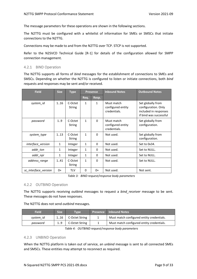The message parameters for these operations are shown in the following sections.

The N2TTG must be configured with a whitelist of information for SMEs or SMSCs that initiate connections to the N2TTG.

Connections may be made to and from the N2TTG over TCP. STCP is not supported.

Refer to the N2SVCD Technical Guide [R-1] for details of the configuration allowed for SMPP connection management.

#### <span id="page-8-0"></span>4.2.1 BIND Operation

The N2TTG supports all forms of *bind* messages for the establishment of connections to SMEs and SMSCs. Depending on whether the N2TTG is configured to listen or initiate connections, both *bind*  requests and responses may be sent and/or received.

| <b>Field</b>         | <b>Size</b>  | <b>Type</b>              | <b>Presence</b> |              |                                                 |                                                                                             |  |  | <b>Inbound Notes</b> | <b>Outbound Notes</b> |
|----------------------|--------------|--------------------------|-----------------|--------------|-------------------------------------------------|---------------------------------------------------------------------------------------------|--|--|----------------------|-----------------------|
|                      |              |                          | Req.            | Resp.        |                                                 |                                                                                             |  |  |                      |                       |
| system_id            | 1.16         | C-Octet<br>String        | 1               | $\mathbf{1}$ | Must match<br>configured entity<br>credentials. | Set globally from<br>configuration. Only<br>included in responses<br>if bind was successful |  |  |                      |                       |
| password             | 19           | C-Octet<br>String        | $\mathbf{1}$    | $\Omega$     | Must match<br>configured entity<br>credentials. | Set globally from<br>configuration.                                                         |  |  |                      |                       |
| system_type          | 113          | C-Octet<br><b>String</b> | $\mathbf{1}$    | $\Omega$     | Not used.                                       | Set globally from<br>configuration.                                                         |  |  |                      |                       |
| interface version    | $\mathbf{1}$ | Integer                  | $\mathbf{1}$    | 0            | Not used.                                       | Set to 0x34.                                                                                |  |  |                      |                       |
| addr_ton             | $\mathbf{1}$ | Integer                  | 1               | 0            | Not used.                                       | Set to NULL.                                                                                |  |  |                      |                       |
| addr_npi             | $\mathbf{1}$ | Integer                  | $\mathbf{1}$    | 0            | Not used.                                       | Set to NULL.                                                                                |  |  |                      |                       |
| address_range        | 141          | C-Octet<br><b>String</b> | $\mathbf{1}$    | $\Omega$     | Not used.                                       | Set to NULL.                                                                                |  |  |                      |                       |
| sc interface version | 0+           | <b>TLV</b>               | 0               | $0+$         | Not used.                                       | Not sent.                                                                                   |  |  |                      |                       |

*Table 3: BIND request/response body parameters*

#### <span id="page-8-3"></span><span id="page-8-1"></span>4.2.2 OUTBIND Operation

The N2TTG supports receiving *outbind* messages to request a *bind\_receiver* message to be sent. These messages do not have responses.

| The N2TTG does not send outbind messages. |  |
|-------------------------------------------|--|
|-------------------------------------------|--|

| <b>Field</b> | <b>Size</b> | Tvpe           | <b>Presence Inbound Notes</b>             |
|--------------|-------------|----------------|-------------------------------------------|
| system id    | 116         | C-Octet String | Must match configured entity credentials. |
| password     | 19          | C-Octet String | Must match configured entity credentials. |

*Table 4: OUTBIND request/response body parameters*

#### <span id="page-8-2"></span>4.2.3 UNBIND Operation

When the N2TTG platform is taken out of service, an *unbind* message is sent to all connected SMEs and SMSCs. These entities may attempt to reconnect as required.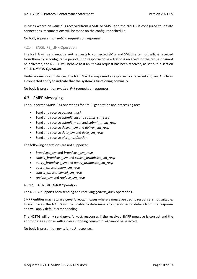In cases where an *unbind* is received from a SME or SMSC and the N2TTG is configured to initiate connections, reconnections will be made on the configured schedule.

No body is present on *unbind* requests or responses.

#### <span id="page-9-0"></span>4.2.4 ENQUIRE LINK Operation

The N2TTG will send *enquire\_link* requests to connected SMEs and SMSCs after no traffic is received from them for a configurable period. If no response or new traffic is received, or the request cannot be delivered, the N2TTG will behave as if an *unbind* request has been received, as set out in section *[4.2.3: UNBIND Operation](#page-8-2)*.

Under normal circumstances, the N2TTG will always send a response to a received *enquire\_link* from a connected entity to indicate that the system is functioning nominally.

No body is present on *enquire\_link* requests or responses.

#### <span id="page-9-1"></span>4.3 SMPP Messaging

The supported SMPP PDU operations for SMPP generation and processing are:

- Send and receive *generic\_nack*
- Send and receive *submit\_sm* and *submit\_sm\_resp*
- Send and receive *submit\_multi* and *submit\_multi\_resp*
- Send and receive *deliver\_sm* and *deliver\_sm\_resp*
- Send and receive *data\_sm* and *data\_sm\_resp*
- Send and receive *alert\_notification*

The following operations are not supported:

- *broadcast\_sm* and *broadcast\_sm\_resp*
- *cancel\_broadcast\_sm* and *cancel\_broadcast\_sm\_resp*
- *query\_broadcast\_sm* and *query\_broadcast\_sm\_resp*
- *query\_sm* and *query\_sm\_resp*
- *cancel\_sm* and *cancel\_sm\_resp*
- *replace\_sm* and *replace\_sm\_resp*

#### 4.3.1.1 GENERIC NACK Operation

The N2TTG supports both sending and receiving *generic\_nack* operations.

SMPP entities may return a *generic nack* in cases where a message-specific response is not suitable. In such cases, the N2TTG will be unable to determine any specific error details from the response and will apply default error handling.

The N2TTG will only send *generic\_nack* responses if the received SMPP message is corrupt and the appropriate response with a corresponding *command\_id* cannot be selected.

No body is present on *generic\_nack* responses.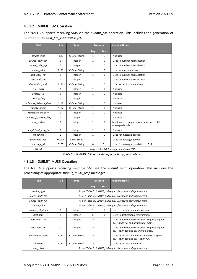## 4.3.1.2 SUBMIT\_SM Operation

The N2TTG supports receiving SMS via the *submit\_sm* operation. This includes the generation of appropriate *submit\_sm\_resp* messages.

| <b>Field</b>            | <b>Size</b>                               | <b>Type</b>         |              | Presence    | <b>Inbound Notes</b>                                           |  |
|-------------------------|-------------------------------------------|---------------------|--------------|-------------|----------------------------------------------------------------|--|
|                         |                                           |                     | Req.         | Resp.       |                                                                |  |
| service_type            | 1.6                                       | C-Octet String      | 1            | 0           | Not used.                                                      |  |
| source addr ton         | $\mathbf{1}$                              | Integer             | $\mathbf{1}$ | 0           | Used in number normalisation.                                  |  |
| source addr npi         | $\mathbf{1}$                              | Integer             | $\mathbf{1}$ | 0           | Used in number normalisation.                                  |  |
| source_addr             | 121                                       | C-Octet String      | $\mathbf{1}$ | 0           | Used as source address.                                        |  |
| dest addr ton           | $\mathbf{1}$                              | Integer             | $\mathbf{1}$ | 0           | Used in number normalisation.                                  |  |
| dest addr npi           | $\mathbf{1}$                              | Integer             | $\mathbf{1}$ | 0           | Used in number normalisation.                                  |  |
| destination addr        | 121                                       | C-Octet String      | $\mathbf{1}$ | $\mathbf 0$ | Used as destination address.                                   |  |
| esm_class               | $\mathbf{1}$                              | Integer             | $\mathbf{1}$ | 0           | Not used.                                                      |  |
| protocol id             | $\mathbf{1}$                              | Integer             | $\mathbf{1}$ | $\mathbf 0$ | Not used.                                                      |  |
| priority_flag           | $\mathbf{1}$                              | Integer             | $\mathbf{1}$ | 0           | Not used.                                                      |  |
| schedule delivery time  | 1 17                                      | C-Octet String      | 1            | $\mathbf 0$ | Not used.                                                      |  |
| validity period         | 1 17                                      | C-Octet String      | 1            | 0           | Not used.                                                      |  |
| registered delivery     | $\mathbf{1}$                              | Integer             | $\mathbf{1}$ | 0           | Not used.                                                      |  |
| replace if present flag | $\mathbf{1}$                              | Integer             | $\mathbf{1}$ | $\mathbf 0$ | Not used.                                                      |  |
| data coding             | $\mathbf{1}$                              | Integer             | 1            | 0           | Must match configured values for successful<br>message decode. |  |
| sm_default_msg_id       | $\mathbf{1}$                              | Integer             | $\mathbf{1}$ | 0           | Not used.                                                      |  |
| sm length               | $\mathbf{1}$                              | Integer             | $\mathbf{1}$ | $\mathbf 0$ | Used for message decode.                                       |  |
| short message           | 0.254                                     | <b>Octet String</b> | $\mathbf{1}$ | 0           | Used for message decode.                                       |  |
| message id              | 0.65                                      | C-Octet String      | 0            | 01          | Used for message correlation to DLR.                           |  |
| (TLVs)                  | As per Table 10: Message submission TLVs. |                     |              |             |                                                                |  |

*Table 5: SUBMIT\_SM request/response body parameters*

#### <span id="page-10-0"></span>4.3.1.3 SUBMIT\_MULTI Operation

The N2TTG supports receiving multiple SMS via the *submit\_multi* operation. This includes the processing of appropriate *submit\_multi\_resp* messages.

| <b>Field</b>     | <b>Size</b>  | <b>Type</b>    | Presence |          | <b>Inbound Notes</b>                                                                  |
|------------------|--------------|----------------|----------|----------|---------------------------------------------------------------------------------------|
|                  |              |                | Req.     | Resp.    |                                                                                       |
| service type     |              |                |          |          | As per Table 5: SUBMIT SM request/response body parameters.                           |
| source_addr_ton  |              |                |          |          | As per Table 5: SUBMIT SM request/response body parameters.                           |
| source_addr_npi  |              |                |          |          | As per Table 5: SUBMIT SM request/response body parameters.                           |
| source addr      |              |                |          |          | As per Table 5: SUBMIT SM request/response body parameters.                           |
| number of dests  | 1            | Integer        | 1        | 0        | Used as destination address count.                                                    |
| dest flag        | $\mathbf{1}$ | Integer        | $1+$     | 0        | Used in destination determination.                                                    |
| dest addr ton    | 1            | Integer        | $0+$     | $\Omega$ | Used in number normalisation. Requires aligned<br>dest addr npi and destination addr. |
| dest addr npi    | $\mathbf{1}$ | Integer        | $0+$     | 0        | Used in number normalisation. Requires aligned<br>dest addr ton and destination addr. |
| destination addr | 121          | C-Octet String | $0+$     | 0        | Used as destination address. Requires aligned<br>dest addr ton and dest addr npi.     |
| dl name          | 121          | C-Octet String | $0+$     | 0        | Used as destination address.                                                          |
| esm class        |              |                |          |          | As per Table 5: SUBMIT SM request/response body parameters.                           |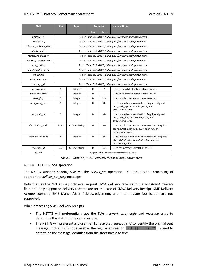| <b>Field</b>            | <b>Size</b>                                                 | <b>Type</b>                                                 | <b>Presence</b> |              | <b>Inbound Notes</b>                                                                                                  |  |  |  |
|-------------------------|-------------------------------------------------------------|-------------------------------------------------------------|-----------------|--------------|-----------------------------------------------------------------------------------------------------------------------|--|--|--|
|                         |                                                             |                                                             | Req.            | Resp.        |                                                                                                                       |  |  |  |
| protocol id             |                                                             | As per Table 5: SUBMIT_SM request/response body parameters. |                 |              |                                                                                                                       |  |  |  |
| priority_flag           |                                                             |                                                             |                 |              | As per Table 5: SUBMIT_SM request/response body parameters.                                                           |  |  |  |
| schedule delivery time  |                                                             |                                                             |                 |              | As per Table 5: SUBMIT SM request/response body parameters.                                                           |  |  |  |
| validity period         |                                                             |                                                             |                 |              | As per Table 5: SUBMIT SM request/response body parameters.                                                           |  |  |  |
| registered delivery     |                                                             |                                                             |                 |              | As per Table 5: SUBMIT SM request/response body parameters.                                                           |  |  |  |
| replace_if_present_flag |                                                             |                                                             |                 |              | As per Table 5: SUBMIT SM request/response body parameters.                                                           |  |  |  |
| data_coding             |                                                             |                                                             |                 |              | As per Table 5: SUBMIT SM request/response body parameters.                                                           |  |  |  |
| sm default msg id       |                                                             |                                                             |                 |              | As per Table 5: SUBMIT SM request/response body parameters.                                                           |  |  |  |
| sm_length               |                                                             |                                                             |                 |              | As per Table 5: SUBMIT_SM request/response body parameters.                                                           |  |  |  |
| short_message           | As per Table 5: SUBMIT SM request/response body parameters. |                                                             |                 |              |                                                                                                                       |  |  |  |
| message_id              | As per Table 5: SUBMIT_SM request/response body parameters. |                                                             |                 |              |                                                                                                                       |  |  |  |
| no_unsuccess            | $\mathbf{1}$                                                | Integer                                                     | 0               | $\mathbf{1}$ | Used as failed destination address count.                                                                             |  |  |  |
| unsuccess sme           | 1                                                           | Integer                                                     | 0               | $\mathbf{1}$ | Used as failed destination address count.                                                                             |  |  |  |
| dest flag               | 1                                                           | Integer                                                     | 0               | $1+$         | Used in failed destination determination.                                                                             |  |  |  |
| dest addr ton           | $\mathbf{1}$                                                | Integer                                                     | 0               | 0+           | Used in number normalisation. Requires aligned<br>dest_addr_npi destination_addr, and<br>error status code.           |  |  |  |
| dest addr npi           | $\mathbf{1}$                                                | Integer                                                     | 0               | $0+$         | Used in number normalisation. Requires aligned<br>dest_addr_ton, destination_addr, and<br>error status code.          |  |  |  |
| destination addr        | 121                                                         | C-Octet String                                              | $\Omega$        | $0+$         | Used in failed destination determination. Requires<br>aligned dest addr ton, dest addr npi, and<br>error_status_code. |  |  |  |
| error_status_code       | $\overline{a}$                                              | Integer                                                     | 0               | $0+$         | Used in failed destination determination. Requires<br>aligned dest_addr_ton, dest_addr_npi, and<br>destination addr.  |  |  |  |
| message_id              | 0.65                                                        | C-Octet String                                              | $\Omega$        | 0.1          | Used for message correlation to DLR.                                                                                  |  |  |  |
| (TLVs)                  |                                                             |                                                             |                 |              | As per Table 10: Message submission TLVs.                                                                             |  |  |  |

*Table 6: SUBMIT\_MULTI request/response body parameters*

#### <span id="page-11-1"></span><span id="page-11-0"></span>4.3.1.4 DELIVER\_SM Operation

The N2TTG supports sending SMS via the *deliver sm* operation. This includes the processing of appropriate *deliver\_sm\_resp* messages.

Note that, as the N2TTG may only ever request SMSC delivery receipts in the *registered\_delivery* field, the only supported delivery receipts are for the case of SMSC Delivery Receipt. SME Delivery Acknowledgment, SME Manual/User Acknowledgement, and Intermediate Notification are not supported.

When processing SMSC delivery receipts:

- The N2TTG will preferentially use the TLVs *network\_error\_code* and *message\_state* to determine the status of the sent message.
- The N2TTG will preferentially use the TLV *receipted message id* to identify the original sent message. If this TLV is not available, the regular expression  $\Delta$ id: ([^ ]+). \*\$ is used to determine the message identifier from the short message text.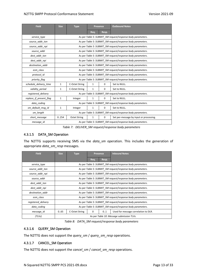| <b>Field</b>            | <b>Size</b>                                      | <b>Type</b>                                                 |              | Presence    | <b>Outbound Notes</b>                                       |  |  |
|-------------------------|--------------------------------------------------|-------------------------------------------------------------|--------------|-------------|-------------------------------------------------------------|--|--|
|                         |                                                  |                                                             | Req.         | Resp.       |                                                             |  |  |
| service_type            |                                                  |                                                             |              |             | As per Table 5: SUBMIT_SM request/response body parameters. |  |  |
| source_addr_ton         |                                                  |                                                             |              |             | As per Table 5: SUBMIT_SM request/response body parameters. |  |  |
| source_addr_npi         |                                                  |                                                             |              |             | As per Table 5: SUBMIT SM request/response body parameters. |  |  |
| source_addr             |                                                  |                                                             |              |             | As per Table 5: SUBMIT_SM request/response body parameters. |  |  |
| dest addr ton           |                                                  |                                                             |              |             | As per Table 5: SUBMIT SM request/response body parameters. |  |  |
| dest_addr_npi           |                                                  |                                                             |              |             | As per Table 5: SUBMIT SM request/response body parameters. |  |  |
| destination addr        |                                                  |                                                             |              |             | As per Table 5: SUBMIT SM request/response body parameters. |  |  |
| esm_class               |                                                  |                                                             |              |             | As per Table 5: SUBMIT_SM request/response body parameters. |  |  |
| protocol_id             |                                                  |                                                             |              |             | As per Table 5: SUBMIT SM request/response body parameters. |  |  |
| priority_flag           |                                                  |                                                             |              |             | As per Table 5: SUBMIT SM request/response body parameters. |  |  |
| schedule delivery time  | 1                                                | C-Octet String                                              | 1            | 0           | Set to NULL.                                                |  |  |
| validity period         | 1                                                | C-Octet String                                              | 1            | $\Omega$    | Set to NULL.                                                |  |  |
| registered delivery     |                                                  |                                                             |              |             | As per Table 5: SUBMIT_SM request/response body parameters. |  |  |
| replace if present flag | 1                                                | Integer                                                     | $\mathbf{1}$ | $\mathbf 0$ | Set to NULL.                                                |  |  |
| data coding             |                                                  |                                                             |              |             | As per Table 5: SUBMIT SM request/response body parameters. |  |  |
| sm_default_msg_id       | $\mathbf 0$<br>Set to NULL.<br>1<br>1<br>Integer |                                                             |              |             |                                                             |  |  |
| sm_length               |                                                  | As per Table 5: SUBMIT_SM request/response body parameters. |              |             |                                                             |  |  |
| short message           | 0.254                                            | <b>Octet String</b>                                         | $\mathbf{1}$ | 0           | Set per-message by input or processing.                     |  |  |
| message id              |                                                  |                                                             |              |             | As per Table 5: SUBMIT SM request/response body parameters. |  |  |

*Table 7: DELIVER\_SM request/response body parameters*

#### <span id="page-12-0"></span>4.3.1.5 DATA\_SM Operation

The N2TTG supports receiving SMS via the *data\_sm* operation. This includes the generation of appropriate *data\_sm\_resp* messages.

| <b>Field</b>        | <b>Size</b> | <b>Type</b>    |      | Presence | <b>Inbound Notes</b>                                        |
|---------------------|-------------|----------------|------|----------|-------------------------------------------------------------|
|                     |             |                | Req. | Resp.    |                                                             |
| service_type        |             |                |      |          | As per Table 5: SUBMIT_SM request/response body parameters. |
| source addr ton     |             |                |      |          | As per Table 5: SUBMIT SM request/response body parameters. |
| source addr npi     |             |                |      |          | As per Table 5: SUBMIT SM request/response body parameters. |
| source addr         |             |                |      |          | As per Table 5: SUBMIT_SM request/response body parameters. |
| dest addr ton       |             |                |      |          | As per Table 5: SUBMIT SM request/response body parameters. |
| dest addr npi       |             |                |      |          | As per Table 5: SUBMIT SM request/response body parameters. |
| destination addr    |             |                |      |          | As per Table 5: SUBMIT SM request/response body parameters. |
| esm class           |             |                |      |          | As per Table 5: SUBMIT_SM request/response body parameters. |
| registered delivery |             |                |      |          | As per Table 5: SUBMIT SM request/response body parameters. |
| data coding         |             |                |      |          | As per Table 5: SUBMIT SM request/response body parameters. |
| message_id          | 065         | C-Octet String | 0    | 01       | Used for message correlation to DLR.                        |
| (TLVs)              |             |                |      |          | As per Table 10: Message submission TLVs.                   |

*Table 8: DATA\_SM request/response body parameters*

#### <span id="page-12-1"></span>4.3.1.6 QUERY\_SM Operation

The N2TTG does not support the *query\_sm* / *query\_sm\_resp* operations.

#### 4.3.1.7 CANCEL\_SM Operation

The N2TTG does not support the *cancel\_sm* / *cancel\_sm\_resp* operations.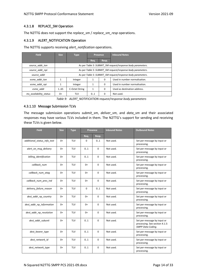#### 4.3.1.8 REPLACE\_SM Operation

The N2TTG does not support the *replace\_sm* / *replace\_sm\_resp* operations.

#### 4.3.1.9 ALERT\_NOTIFICATION Operation

The N2TTG supports receiving *alert\_notification* operations.

| <b>Field</b>           | <b>Size</b> | <b>Type</b>                                                 | Presence |              | <b>Inbound Notes</b>                                        |  |  |  |
|------------------------|-------------|-------------------------------------------------------------|----------|--------------|-------------------------------------------------------------|--|--|--|
|                        |             |                                                             | Req.     | Resp.        |                                                             |  |  |  |
| source addr ton        |             | As per Table 5: SUBMIT_SM request/response body parameters. |          |              |                                                             |  |  |  |
| source addr npi        |             | As per Table 5: SUBMIT SM request/response body parameters. |          |              |                                                             |  |  |  |
| source addr            |             |                                                             |          |              | As per Table 5: SUBMIT SM request/response body parameters. |  |  |  |
| esme addr ton          |             | Integer                                                     |          | 0            | Used in number normalisation.                               |  |  |  |
| esme addr npi          |             | Integer                                                     | 1        | 0            | Used in number normalisation.                               |  |  |  |
| esme addr              | 1.65        | C-Octet String                                              |          | 0            | Used as destination address.                                |  |  |  |
| ms availability_status | $0+$        | TLV                                                         | 01       | <sup>0</sup> | Not used.                                                   |  |  |  |

*Table 9: ALERT\_NOTIFICATION request/response body parameters*

#### 4.3.1.10 Message Submission TLVs

The message submission operations *submit\_sm*, *deliver\_sm*, and *data\_sm* and their associated responses may have various TLVs included in them. The N2TTG's support for sending and receiving these TLVs is given below.

| <b>Field</b>                | <b>Size</b> | <b>Type</b> |      | <b>Presence</b> | <b>Inbound Notes</b> | <b>Outbound Notes</b>                                                              |
|-----------------------------|-------------|-------------|------|-----------------|----------------------|------------------------------------------------------------------------------------|
|                             |             |             | Req. | Resp.           |                      |                                                                                    |
| additional status info text | $0+$        | <b>TLV</b>  | 0    | 01              | Not used.            | Set per-message by input or<br>processing.                                         |
| alert on msq delivery       | $0+$        | <b>TLV</b>  | 0.1  | $\mathbf 0$     | Not used.            | Set per-message by input or<br>processing.                                         |
| billing_identification      | $0+$        | <b>TLV</b>  | 01   | 0               | Not used.            | Set per-message by input or<br>processing.                                         |
| callback num                | $0+$        | <b>TLV</b>  | $0+$ | 0               | Not used.            | Set per-message by input or<br>processing.                                         |
| callback num ataq           | $0+$        | <b>TLV</b>  | $0+$ | $\Omega$        | Not used.            | Set per-message by input or<br>processing.                                         |
| callback num pres ind       | $0+$        | <b>TLV</b>  | $0+$ | $\mathbf 0$     | Not used.            | Set per-message by input or<br>processing.                                         |
| delivery failure reason     | $0+$        | <b>TLV</b>  | 0    | 01              | Not used.            | Set per-message by input or<br>processing.                                         |
| dest_addr_np_country        | $0+$        | <b>TLV</b>  | $0+$ | $\Omega$        | Not used.            | Set per-message by input or<br>processing.                                         |
| dest addr np information    | $0+$        | <b>TLV</b>  | $0+$ | $\mathbf 0$     | Not used.            | Set per-message by input or<br>processing.                                         |
| dest addr np resolution     | $0+$        | <b>TLV</b>  | $0+$ | $\mathbf 0$     | Not used.            | Set per-message by input or<br>processing.                                         |
| dest addr subunit           | $0+$        | <b>TLV</b>  | 01   | $\Omega$        | Not used.            | Set per-message by input or<br>processing. See section 4.1.5:<br>SMPP Data Coding. |
| dest_bearer_type            | $0+$        | <b>TLV</b>  | 0.1  | $\mathbf 0$     | Not used.            | Set per-message by input or<br>processing.                                         |
| dest network id             | $0+$        | TLV         | 01   | 0               | Not used.            | Set per-message by input or<br>processing.                                         |
| dest network type           | $0+$        | <b>TLV</b>  | 0.1  | $\Omega$        | Not used.            | Set per-message by input or<br>processing.                                         |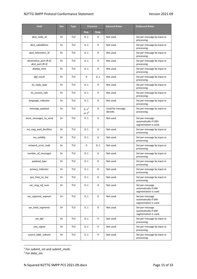| <b>Field</b>                              | <b>Size</b> | <b>Type</b> |                              | <b>Presence</b> | <b>Inbound Notes</b>        | <b>Outbound Notes</b>                                            |
|-------------------------------------------|-------------|-------------|------------------------------|-----------------|-----------------------------|------------------------------------------------------------------|
|                                           |             |             | Req.                         | Resp.           |                             |                                                                  |
| dest_node_id                              | $0+$        | TLV         | 01                           | 0               | Not used.                   | Set per-message by input or<br>processing.                       |
| dest subaddress                           | $0+$        | <b>TLV</b>  | 01                           | 0               | Not used.                   | Set per-message by input or<br>processing.                       |
| dest_telematics_id                        | 0+          | <b>TLV</b>  | 01                           | 0               | Not used.                   | Set per-message by input or<br>processing.                       |
| destination_port [R-6]<br>dest_port [R-3] | $0+$        | <b>TLV</b>  | 01                           | 0               | Not used.                   | Set per-message by input or<br>processing.                       |
| display_time                              | $0+$        | <b>TLV</b>  | 01                           | 0               | Not used.                   | Set per-message by input or<br>processing.                       |
| dpf_result                                | $0+$        | TLV         | 0                            | 01              | Not used.                   | Set per-message by input or<br>processing.                       |
| its_reply_type                            | $0+$        | <b>TLV</b>  | 01                           | 0               | Not used.                   | Set per-message by input or<br>processing.                       |
| its_session_info                          | $0+$        | <b>TLV</b>  | 01                           | 0               | Not used.                   | Set per-message by input or<br>processing.                       |
| language_indicator                        | $0+$        | TLV         | 01                           | 0               | Not used.                   | Set per-message by input or<br>processing.                       |
| message payload                           | $0+$        | <b>TLV</b>  | 0.1 <sup>1</sup><br>or $1^2$ | 0               | Used for message<br>decode. | Set per-message by input or<br>processing.                       |
| more_messages_to_send                     | $0+$        | TLV         | 01                           | 0               | Not used.                   | Set per-message<br>automatically if UDH<br>segmentation is used. |
| ms_msg_wait_facilities                    | $0+$        | <b>TLV</b>  | 01                           | 0               | Not used.                   | Set per-message by input or<br>processing.                       |
| ms_validity                               | $0+$        | TLV         | 01                           | 0               | Not used.                   | Set per-message by input or<br>processing.                       |
| network_error_code                        | $0+$        | <b>TLV</b>  | 0                            | 01              | Not used.                   | Set per-message by input or<br>processing.                       |
| number of messages                        | $0+$        | TLV         | 01                           | 0               | Not used.                   | Set per-message by input or<br>processing.                       |
| payload_type                              | $0+$        | TLV         | 01                           | 0               | Not used.                   | Set per-message by input or<br>processing.                       |
| privacy_indicator                         | 0+          | TLV         | 01                           | 0               | Not used.                   | Set per-message by input or<br>processing.                       |
| qos_time_to_live                          | $0+$        | TLV         | 01                           | 0               | Not used.                   | Set per-message by input or<br>processing.                       |
| sar_msg_ref_num                           | 0+          | <b>TLV</b>  | 01                           | 0               | Not used.                   | Set per-message<br>automatically if SAR<br>segmentation is used. |
| sar_segment_seqnum                        | 0+          | <b>TLV</b>  | 01                           | 0               | Not used.                   | Set per-message<br>automatically if SAR<br>segmentation is used. |
| sar_total_segments                        | $0+$        | TLV         | 01                           | 0               | Not used.                   | Set per-message<br>automatically if SAR<br>segmentation is used. |
| set_dpf                                   | 0+          | TLV         | 01                           | 0               | Not used.                   | Set per-message by input or<br>processing.                       |
| sms_signal                                | 0+          | <b>TLV</b>  | 01                           | 0               | Not used.                   | Set per-message by input or<br>processing.                       |
| source_addr_subunit                       | 0+          | <b>TLV</b>  | 01                           | 0               | Not used.                   | Set per-message by input or<br>processing.                       |

1 For *submit\_sm* and *submit\_multi*. 2 For *data\_sm*.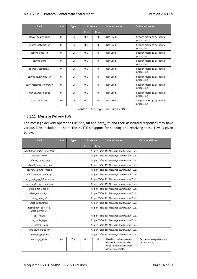| <b>Field</b>           | <b>Size</b> | <b>Type</b> |      | Presence | <b>Inbound Notes</b> | <b>Outbound Notes</b>                      |
|------------------------|-------------|-------------|------|----------|----------------------|--------------------------------------------|
|                        |             |             | Req. | Resp.    |                      |                                            |
| source bearer type     | $0+$        | <b>TLV</b>  | 01   | 0        | Not used.            | Set per-message by input or<br>processing. |
| source network id      | $0+$        | <b>TLV</b>  | 01   | 0        | Not used.            | Set per-message by input or<br>processing. |
| source_node_id         | $0+$        | <b>TLV</b>  | 0.1  | 0        | Not used.            | Set per-message by input or<br>processing. |
| source port            | $0+$        | <b>TLV</b>  | 0.1  | 0        | Not used.            | Set per-message by input or<br>processing. |
| source subaddress      | $0+$        | <b>TLV</b>  | 01   | 0        | Not used.            | Set per-message by input or<br>processing. |
| source telematics id   | $0+$        | <b>TLV</b>  | 0.1  | 0        | Not used.            | Set per-message by input or<br>processing. |
| user_message_reference | $0+$        | <b>TLV</b>  | 01   | 0        | Not used.            | Set per-message by input or<br>processing. |
| user response code     | $0+$        | <b>TLV</b>  | 01   | 0        | Not used.            | Set per-message by input or<br>processing. |
| ussd service op        | $0+$        | <b>TLV</b>  | 0.1  | $\Omega$ | Not used.            | Set per-message by input or<br>processing. |

*Table 10: Message submission TLVs*

#### <span id="page-15-0"></span>4.3.1.11 Message Delivery TLVs

The message delivery operations *deliver\_sm* and *data\_sm* and their associated responses may have various TLVs included in them. The N2TTG's support for sending and receiving these TLVs is given below.

| <b>Field</b>                              | <b>Size</b> | <b>Type</b> |      | Presence | <b>Inbound Notes</b>                                                                               | <b>Outbound Notes</b>                      |
|-------------------------------------------|-------------|-------------|------|----------|----------------------------------------------------------------------------------------------------|--------------------------------------------|
|                                           |             |             | Req. | Resp.    |                                                                                                    |                                            |
| additional_status_info_text               |             |             |      |          | As per Table 10: Message submission TLVs.                                                          |                                            |
| callback num                              |             |             |      |          | As per Table 10: Message submission TLVs.                                                          |                                            |
| callback num atag                         |             |             |      |          | As per Table 10: Message submission TLVs.                                                          |                                            |
| callback_num_pres_ind                     |             |             |      |          | As per Table 10: Message submission TLVs.                                                          |                                            |
| delivery_failure_reason                   |             |             |      |          | As per Table 10: Message submission TLVs.                                                          |                                            |
| dest addr np country                      |             |             |      |          | As per Table 10: Message submission TLVs.                                                          |                                            |
| dest_addr_np_information                  |             |             |      |          | As per Table 10: Message submission TLVs.                                                          |                                            |
| dest addr np resolution                   |             |             |      |          | As per Table 10: Message submission TLVs.                                                          |                                            |
| dest addr subunit                         |             |             |      |          | As per Table 10: Message submission TLVs.                                                          |                                            |
| dest network id                           |             |             |      |          | As per Table 10: Message submission TLVs.                                                          |                                            |
| dest node id                              |             |             |      |          | As per Table 10: Message submission TLVs.                                                          |                                            |
| dest subaddress                           |             |             |      |          | As per Table 10: Message submission TLVs.                                                          |                                            |
| destination port [R-6]<br>dest port [R-3] |             |             |      |          | As per Table 10: Message submission TLVs.                                                          |                                            |
| dpf result                                |             |             |      |          | As per Table 10: Message submission TLVs.                                                          |                                            |
| its_reply_type                            |             |             |      |          | As per Table 10: Message submission TLVs.                                                          |                                            |
| its_session_info                          |             |             |      |          | As per Table 10: Message submission TLVs.                                                          |                                            |
| language indicator                        |             |             |      |          | As per Table 10: Message submission TLVs.                                                          |                                            |
| message payload                           |             |             |      |          | As per Table 10: Message submission TLVs.                                                          |                                            |
| message state                             | $0+$        | <b>TLV</b>  | 0.1  | 0        | Used for delivery status<br>determination. May be<br>used in processing SMSC<br>delivery receipts. | Set per-message by input<br>or processing. |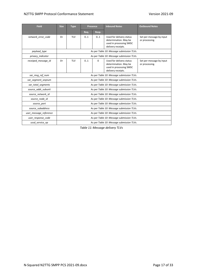#### N2TTG SMPP Protocol Conformance Statement Version 2021-09

| <b>Field</b>           | <b>Size</b> | <b>Type</b>                               |      | <b>Presence</b> | <b>Inbound Notes</b>                                                                               | <b>Outbound Notes</b>                      |
|------------------------|-------------|-------------------------------------------|------|-----------------|----------------------------------------------------------------------------------------------------|--------------------------------------------|
|                        |             |                                           | Req. | Resp.           |                                                                                                    |                                            |
| network error code     | $0+$        | <b>TLV</b>                                | 01   | 01              | Used for delivery status<br>determination. May be<br>used in processing SMSC<br>delivery receipts. | Set per-message by input<br>or processing. |
| payload type           |             |                                           |      |                 | As per Table 10: Message submission TLVs.                                                          |                                            |
| privacy indicator      |             |                                           |      |                 | As per Table 10: Message submission TLVs.                                                          |                                            |
| receiped message id    | $0+$        | <b>TLV</b>                                | 0.1  | 0               | Used for delivery status<br>determination. May be<br>used in processing SMSC<br>delivery receipts. | Set per-message by input<br>or processing. |
| sar_msg_ref_num        |             |                                           |      |                 | As per Table 10: Message submission TLVs.                                                          |                                            |
| sar segment segnum     |             |                                           |      |                 | As per Table 10: Message submission TLVs.                                                          |                                            |
| sar total segments     |             |                                           |      |                 | As per Table 10: Message submission TLVs.                                                          |                                            |
| source addr subunit    |             |                                           |      |                 | As per Table 10: Message submission TLVs.                                                          |                                            |
| source network id      |             |                                           |      |                 | As per Table 10: Message submission TLVs.                                                          |                                            |
| source_node_id         |             |                                           |      |                 | As per Table 10: Message submission TLVs.                                                          |                                            |
| source port            |             |                                           |      |                 | As per Table 10: Message submission TLVs.                                                          |                                            |
| source subaddress      |             | As per Table 10: Message submission TLVs. |      |                 |                                                                                                    |                                            |
| user message reference |             | As per Table 10: Message submission TLVs. |      |                 |                                                                                                    |                                            |
| user response code     |             |                                           |      |                 | As per Table 10: Message submission TLVs.                                                          |                                            |
| ussd service op        |             |                                           |      |                 | As per Table 10: Message submission TLVs.                                                          |                                            |

<span id="page-16-0"></span>*Table 11: Message delivery TLVs*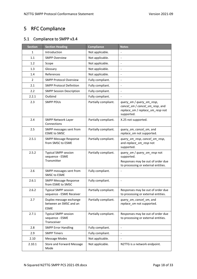# <span id="page-17-0"></span>5 RFC Compliance

# <span id="page-17-1"></span>5.1 Compliance to SMPP v3.4

| <b>Section</b> | <b>Section Heading</b>                                           | <b>Compliance</b>    | <b>Notes</b>                                                                                                           |
|----------------|------------------------------------------------------------------|----------------------|------------------------------------------------------------------------------------------------------------------------|
| $\mathbf{1}$   | Introduction                                                     | Not applicable.      |                                                                                                                        |
| 1.1            | <b>SMPP Overview</b>                                             | Not applicable.      |                                                                                                                        |
| 1.2            | Scope                                                            | Not applicable.      | $\overline{\phantom{a}}$                                                                                               |
| 1.3            | Glossary                                                         | Not applicable.      | $\blacksquare$                                                                                                         |
| 1.4            | References                                                       | Not applicable.      |                                                                                                                        |
| $\overline{2}$ | <b>SMPP Protocol Overview</b>                                    | Fully compliant.     |                                                                                                                        |
| 2.1            | <b>SMPP Protocol Definition</b>                                  | Fully compliant.     | $\overline{a}$                                                                                                         |
| 2.2            | <b>SMPP Session Description</b>                                  | Fully compliant.     | $\blacksquare$                                                                                                         |
| 2.2.1          | Outbind                                                          | Fully compliant.     | $\overline{\phantom{a}}$                                                                                               |
| 2.3            | <b>SMPP PDUs</b>                                                 | Partially compliant. | query_sm / query_sm_resp,<br>cancel_sm / cancel_sm_resp, and<br>replace_sm / replace_sm_resp not<br>supported.         |
| 2.4            | <b>SMPP Network Layer</b><br>Connections                         | Partially compliant. | X.25 not supported.                                                                                                    |
| 2.5            | SMPP messages sent from<br><b>ESME to SMSC</b>                   | Partially compliant. | query_sm, cancel_sm, and<br>replace_sm not supported.                                                                  |
| 2.5.1          | <b>SMPP Message Response</b><br>from SMSC to ESME                | Partially compliant. | query_sm_resp, cancel_sm_resp,<br>and replace_sm_resp not<br>supported.                                                |
| 2.5.2          | <b>Typical SMPP session</b><br>sequence - ESME<br>Transmitter    | Partially compliant. | query_sm / query_sm_resp not<br>supported.<br>Responses may be out of order due<br>to processing or external entities. |
| 2.6            | SMPP messages sent from<br><b>SMSC to ESME</b>                   | Fully compliant.     |                                                                                                                        |
| 2.6.1          | <b>SMPP Message Response</b><br>from ESME to SMSC                | Fully compliant.     | $\overline{\phantom{a}}$                                                                                               |
| 2.6.2          | <b>Typical SMPP session</b><br>sequence - ESME Receiver          | Partially compliant. | Responses may be out of order due<br>to processing or external entities.                                               |
| 2.7            | Duplex message exchange<br>between an SMSC and an<br><b>ESME</b> | Partially compliant. | query_sm, cancel_sm, and<br>replace_sm not supported.                                                                  |
| 2.7.1          | <b>Typical SMPP session</b><br>sequence - ESME<br>Transceiver    | Partially compliant. | Responses may be out of order due<br>to processing or external entities.                                               |
| 2.8            | <b>SMPP Error Handling</b>                                       | Fully compliant.     | $\overline{\phantom{a}}$                                                                                               |
| 2.9            | <b>SMPP Timers</b>                                               | Fully compliant.     |                                                                                                                        |
| 2.10           | <b>Message Modes</b>                                             | Not applicable.      |                                                                                                                        |
| 2.10.1         | Store and Forward Message<br>Mode                                | Not applicable.      | N2TTG is a network endpoint.                                                                                           |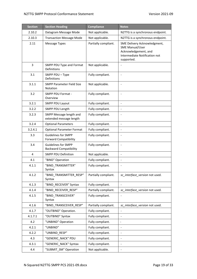| <b>Section</b> | <b>Section Heading</b>                                      | <b>Compliance</b>    | <b>Notes</b>                                                                                                                  |
|----------------|-------------------------------------------------------------|----------------------|-------------------------------------------------------------------------------------------------------------------------------|
| 2.10.2         | Datagram Message Mode                                       | Not applicable.      | N2TTG is a synchronous endpoint.                                                                                              |
| 2.10.3         | <b>Transaction Message Mode</b>                             | Not applicable.      | N2TTG is a synchronous endpoint.                                                                                              |
| 2.11           | Message Types                                               | Partially compliant. | SME Delivery Acknowledgment,<br><b>SME Manual/User</b><br>Acknowledgement, and<br>Intermediate Notification not<br>supported. |
| 3              | SMPP PDU Type and Format<br>Definitions                     | Not applicable.      |                                                                                                                               |
| 3.1            | SMPP PDU - Type<br>Definitions                              | Fully compliant.     | $\overline{a}$                                                                                                                |
| 3.1.1          | <b>SMPP Parameter Field Size</b><br>Notation                | Not applicable.      | $\overline{\phantom{a}}$                                                                                                      |
| 3.2            | SMPP PDU Format -<br>Overview                               | Fully compliant.     | $\blacksquare$                                                                                                                |
| 3.2.1          | SMPP PDU Layout                                             | Fully compliant.     | $\overline{\phantom{a}}$                                                                                                      |
| 3.2.2          | SMPP PDU Length                                             | Fully compliant.     |                                                                                                                               |
| 3.2.3          | SMPP Message length and<br>extended message length          | Fully compliant.     |                                                                                                                               |
| 3.2.4          | <b>Optional Parameters</b>                                  | Fully compliant.     | $\blacksquare$                                                                                                                |
| 3.2.4.1        | <b>Optional Parameter Format</b>                            | Fully compliant.     | $\blacksquare$                                                                                                                |
| 3.3            | <b>Guidelines for SMPP</b><br><b>Forward Compatibility</b>  | Fully compliant.     | $\overline{\phantom{a}}$                                                                                                      |
| 3.4            | <b>Guidelines for SMPP</b><br><b>Backward Compatibility</b> | Fully compliant.     | $\blacksquare$                                                                                                                |
| 4              | <b>SMPP PDU Definition</b>                                  | Not applicable.      | $\overline{\phantom{a}}$                                                                                                      |
| 4.1            | "BIND" Operation                                            | Fully compliant.     | $\qquad \qquad \blacksquare$                                                                                                  |
| 4.1.1          | "BIND TRANSMITTER"<br>Syntax                                | Fully compliant.     | $\qquad \qquad \blacksquare$                                                                                                  |
| 4.1.2          | "BIND_TRANSMITTER_RESP"<br>Syntax                           | Partially compliant. | sc_interface_version not used.                                                                                                |
| 4.1.3          | "BIND_RECEIVER" Syntax                                      | Fully compliant.     |                                                                                                                               |
| 4.1.4          | "BIND_RECEIVER_RESP"                                        | Partially compliant. | sc_interface_version not used.                                                                                                |
| 4.1.5          | "BIND TRANSCEIVER"<br>Syntax                                | Fully compliant.     |                                                                                                                               |
| 4.1.6          | "BIND TRANSCEIVER RESP"                                     | Partially compliant. | sc_interface_version not used.                                                                                                |
| 4.1.7          | "OUTBIND" Operation.                                        | Fully compliant.     |                                                                                                                               |
| 4.1.7.1        | "OUTBIND" Syntax                                            | Fully compliant.     |                                                                                                                               |
| 4.2            | "UNBIND" Operation                                          | Fully compliant.     |                                                                                                                               |
| 4.2.1          | "UNBIND"                                                    | Fully compliant.     | $\overline{\phantom{a}}$                                                                                                      |
| 4.2.2          | "UNBIND RESP"                                               | Fully compliant.     | $\overline{\phantom{a}}$                                                                                                      |
| 4.3            | "GENERIC NACK" PDU                                          | Fully compliant.     |                                                                                                                               |
| 4.3.1          | "GENERIC NACK" Syntax                                       | Fully compliant.     |                                                                                                                               |
| 4.4            | "SUBMIT_SM" Operation                                       | Not applicable.      |                                                                                                                               |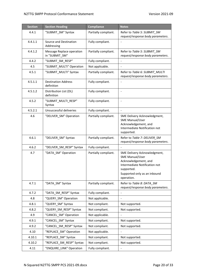| <b>Section</b> | <b>Section Heading</b>                      | <b>Compliance</b>    | <b>Notes</b>                                                                                                                                                                |
|----------------|---------------------------------------------|----------------------|-----------------------------------------------------------------------------------------------------------------------------------------------------------------------------|
| 4.4.1          | "SUBMIT_SM" Syntax                          | Partially compliant. | Refer to Table 5: SUBMIT SM<br>request/response body parameters.                                                                                                            |
| 4.4.1.1        | Source and Destination<br>Addressing        | Fully compliant.     | $\overline{a}$                                                                                                                                                              |
| 4.4.1.2        | Message Replace operation<br>in "SUBMIT_SM" | Partially compliant. | Refer to Table 5: SUBMIT_SM<br>request/response body parameters.                                                                                                            |
| 4.4.2          | "SUBMIT_SM_RESP"                            | Fully compliant.     | $\overline{a}$                                                                                                                                                              |
| 4.5            | "SUBMIT_MULTI" Operation                    | Not applicable.      |                                                                                                                                                                             |
| 4.5.1          | "SUBMIT_MULTI" Syntax                       | Partially compliant. | Refer to Table 6: SUBMIT_MULTI<br>request/response body parameters.                                                                                                         |
| 4.5.1.1        | <b>Destination Address</b><br>definition    | Fully compliant.     |                                                                                                                                                                             |
| 4.5.1.2        | Distribution List (DL)<br>definition        | Fully compliant.     | $\overline{\phantom{a}}$                                                                                                                                                    |
| 4.5.2          | "SUBMIT_MULTI_RESP"<br>Syntax               | Fully compliant.     |                                                                                                                                                                             |
| 4.5.2.1        | Unsuccessful deliveries                     | Fully compliant.     |                                                                                                                                                                             |
| 4.6            | "DELIVER_SM" Operation                      | Partially compliant. | SME Delivery Acknowledgment,<br><b>SME Manual/User</b><br>Acknowledgement, and<br>Intermediate Notification not<br>supported.                                               |
| 4.6.1          | "DELIVER_SM" Syntax                         | Partially compliant. | Refer to Table 7: DELIVER SM<br>request/response body parameters.                                                                                                           |
| 4.6.2          | "DELIVER_SM_RESP" Syntax                    | Fully compliant.     | $\blacksquare$                                                                                                                                                              |
| 4.7            | "DATA SM" Operation                         | Partially compliant. | SME Delivery Acknowledgment,<br><b>SME Manual/User</b><br>Acknowledgement, and<br>Intermediate Notification not<br>supported.<br>Supported only as an inbound<br>operation. |
| 4.7.1          | "DATA_SM" Syntax                            | Partially compliant. | Refer to Table 8: DATA SM<br>request/response body parameters.                                                                                                              |
| 4.7.2          | "DATA_SM_RESP" Syntax                       | Fully compliant.     | $\blacksquare$                                                                                                                                                              |
| 4.8            | "QUERY SM" Operation                        | Not applicable.      |                                                                                                                                                                             |
| 4.8.1          | "QUERY_SM" Syntax                           | Not compliant.       | Not supported.                                                                                                                                                              |
| 4.8.2          | "QUERY_SM_RESP" Syntax                      | Not compliant.       | Not supported.                                                                                                                                                              |
| 4.9            | "CANCEL SM" Operation                       | Not applicable.      |                                                                                                                                                                             |
| 4.9.1          | "CANCEL SM" Syntax                          | Not compliant.       | Not supported.                                                                                                                                                              |
| 4.9.2          | "CANCEL_SM_RESP" Syntax                     | Not compliant.       | Not supported.                                                                                                                                                              |
| 4.10           | "REPLACE SM" Operation                      | Not applicable.      |                                                                                                                                                                             |
| 4.10.1         | "REPLACE_SM" Syntax                         | Not compliant.       | Not supported.                                                                                                                                                              |
| 4.10.2         | "REPLACE_SM_RESP" Syntax                    | Not compliant.       | Not supported.                                                                                                                                                              |
| 4.11           | "ENQUIRE_LINK" Operation                    | Fully compliant.     | $\overline{\phantom{0}}$                                                                                                                                                    |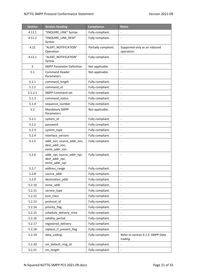| <b>Section</b> | <b>Section Heading</b>                                        | <b>Compliance</b>    | <b>Notes</b>                                 |
|----------------|---------------------------------------------------------------|----------------------|----------------------------------------------|
| 4.11.1         | "ENQUIRE_LINK" Syntax                                         | Fully compliant.     |                                              |
| 4.11.2         | "ENQUIRE LINK RESP"<br>Syntax                                 | Fully compliant.     | $\blacksquare$                               |
| 4.12           | "ALERT NOTIFICATION"<br>Operation                             | Partially compliant. | Supported only as an inbound<br>operation.   |
| 4.12.1         | "ALERT NOTIFICATION"<br>Syntax                                | Fully compliant.     |                                              |
| 5              | <b>SMPP Parameter Definition</b>                              | Not applicable.      |                                              |
| 5.1            | <b>Command Header</b><br>Parameters                           | Not applicable.      |                                              |
| 5.1.1          | command_length                                                | Fully compliant.     | $\blacksquare$                               |
| 5.1.2          | command_id                                                    | Fully compliant.     | $\overline{\phantom{a}}$                     |
| 5.1.2.1        | <b>SMPP Command set</b>                                       | Fully compliant.     | $\overline{\phantom{0}}$                     |
| 5.1.3          | command_status                                                | Fully compliant.     |                                              |
| 5.1.4          | sequence_number                                               | Fully compliant.     | $\overline{\phantom{0}}$                     |
| 5.2            | Mandatory SMPP<br>Parameters                                  | Not applicable.      | $\blacksquare$                               |
| 5.2.1          | system_id                                                     | Fully compliant.     | $\overline{\phantom{a}}$                     |
| 5.2.2          | password                                                      | Fully compliant.     | $\overline{\phantom{a}}$                     |
| 5.2.3          | system_type                                                   | Fully compliant.     |                                              |
| 5.2.4          | interface_version                                             | Fully compliant.     | $\blacksquare$                               |
| 5.2.5          | addr_ton, source_addr_ton,<br>dest_addr_ton,<br>esme_addr_ton | Fully compliant.     | $\overline{\phantom{a}}$                     |
| 5.2.6          | addr_npi, source_addr_npi,<br>dest_addr_npi,<br>esme_addr_npi | Fully compliant.     | $\qquad \qquad \blacksquare$                 |
| 5.2.7          | address_range                                                 | Fully compliant.     |                                              |
| 5.2.8          | source addr                                                   | Fully compliant.     |                                              |
| 5.2.9          | destination addr                                              | Fully compliant.     |                                              |
| 5.2.10         | esme_addr                                                     | Fully compliant.     | $\qquad \qquad \blacksquare$                 |
| 5.2.11         | service type                                                  | Fully compliant.     |                                              |
| 5.2.12         | esm_class                                                     | Fully compliant.     | $\overline{\phantom{a}}$                     |
| 5.2.13         | protocol_id                                                   | Fully compliant.     |                                              |
| 5.2.14         | priority_flag                                                 | Fully compliant.     | $\qquad \qquad \blacksquare$                 |
| 5.2.15         | schedule_delivery_time                                        | Fully compliant.     | $\blacksquare$                               |
| 5.2.16         | validity_period                                               | Fully compliant.     | $\qquad \qquad \blacksquare$                 |
| 5.2.17         | registered_delivery                                           | Fully compliant.     |                                              |
| 5.2.18         | replace_if_present_flag                                       | Fully compliant.     |                                              |
| 5.2.19         | data coding                                                   | Fully compliant.     | Refer to section 4.1.5: SMPP Data<br>Coding. |
| 5.2.20         | sm_default_msg_id                                             | Fully compliant.     | $\blacksquare$                               |
| 5.2.21         | sm_length                                                     | Fully compliant.     | $\qquad \qquad \blacksquare$                 |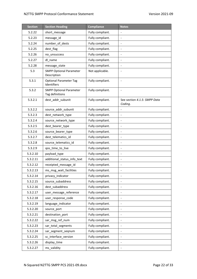| <b>Section</b> | <b>Section Heading</b>                            | <b>Compliance</b> | <b>Notes</b>                            |
|----------------|---------------------------------------------------|-------------------|-----------------------------------------|
| 5.2.22         | short_message                                     | Fully compliant.  |                                         |
| 5.2.23         | message_id                                        | Fully compliant.  | $\frac{1}{2}$                           |
| 5.2.24         | number_of_dests                                   | Fully compliant.  | $\qquad \qquad \blacksquare$            |
| 5.2.25         | dest flag                                         | Fully compliant.  |                                         |
| 5.2.26         | no_unsuccess                                      | Fully compliant.  | $\qquad \qquad \blacksquare$            |
| 5.2.27         | dl name                                           | Fully compliant.  | $\blacksquare$                          |
| 5.2.28         | message_state                                     | Fully compliant.  | $\blacksquare$                          |
| 5.3            | <b>SMPP Optional Parameter</b><br>Description     | Not applicable.   | $\overline{a}$                          |
| 5.3.1          | <b>Optional Parameter Tag</b><br>Identifiers      | Fully compliant.  | $\overline{a}$                          |
| 5.3.2          | <b>SMPP Optional Parameter</b><br>Tag definitions | Fully compliant.  |                                         |
| 5.3.2.1        | dest_addr_subunit                                 | Fully compliant.  | See section 4.1.5: SMPP Data<br>Coding. |
| 5.3.2.2        | source addr subunit                               | Fully compliant.  |                                         |
| 5.3.2.3        | dest network type                                 | Fully compliant.  | $\qquad \qquad \blacksquare$            |
| 5.3.2.4        | source_network_type                               | Fully compliant.  |                                         |
| 5.3.2.5        | dest_bearer_type                                  | Fully compliant.  | $\qquad \qquad \blacksquare$            |
| 5.3.2.6        | source_bearer_type                                | Fully compliant.  | $\overline{\phantom{a}}$                |
| 5.3.2.7        | dest_telematics_id                                | Fully compliant.  | $\blacksquare$                          |
| 5.3.2.8        | source_telematics_id                              | Fully compliant.  | $\blacksquare$                          |
| 5.3.2.9        | qos_time_to_live                                  | Fully compliant.  | $\overline{a}$                          |
| 5.3.2.10       | payload_type                                      | Fully compliant.  | $\qquad \qquad \blacksquare$            |
| 5.3.2.11       | additional_status_info_text                       | Fully compliant.  | $\blacksquare$                          |
| 5.3.2.12       | receipted_message_id                              | Fully compliant.  | $\blacksquare$                          |
| 5.3.2.13       | ms_msg_wait_facilities                            | Fully compliant.  |                                         |
| 5.3.2.14       | privacy_indicator                                 | Fully compliant.  |                                         |
| 5.3.2.15       | source_subaddress                                 | Fully compliant.  | $\blacksquare$                          |
| 5.3.2.16       | dest subaddress                                   | Fully compliant.  | $\blacksquare$                          |
| 5.3.2.17       | user_message_reference                            | Fully compliant.  |                                         |
| 5.3.2.18       | user_response_code                                | Fully compliant.  |                                         |
| 5.3.2.19       | language_indicator                                | Fully compliant.  |                                         |
| 5.3.2.20       | source_port                                       | Fully compliant.  | $\qquad \qquad \blacksquare$            |
| 5.3.2.21       | destination_port                                  | Fully compliant.  | $\qquad \qquad \blacksquare$            |
| 5.3.2.22       | sar_msg_ref_num                                   | Fully compliant.  |                                         |
| 5.3.2.23       | sar_total_segments                                | Fully compliant.  |                                         |
| 5.3.2.24       | sar_segment_seqnum                                | Fully compliant.  |                                         |
| 5.3.2.25       | sc_interface_version                              | Fully compliant.  | $\overline{\phantom{a}}$                |
| 5.3.2.26       | display_time                                      | Fully compliant.  |                                         |
| 5.3.2.27       | ms validity                                       | Fully compliant.  |                                         |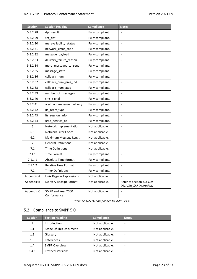| <b>Section</b> | <b>Section Heading</b>            | <b>Compliance</b> | <b>Notes</b>                                       |
|----------------|-----------------------------------|-------------------|----------------------------------------------------|
| 5.3.2.28       | dpf_result                        | Fully compliant.  | $\overline{a}$                                     |
| 5.3.2.29       | set_dpf                           | Fully compliant.  | $\qquad \qquad \blacksquare$                       |
| 5.3.2.30       | ms_availability_status            | Fully compliant.  | $\blacksquare$                                     |
| 5.3.2.31       | network_error_code                | Fully compliant.  |                                                    |
| 5.3.2.32       | message_payload                   | Fully compliant.  | $\frac{1}{2}$                                      |
| 5.3.2.33       | delivery_failure_reason           | Fully compliant.  | $\blacksquare$                                     |
| 5.3.2.34       | more messages to send             | Fully compliant.  | $\qquad \qquad \blacksquare$                       |
| 5.3.2.35       | message_state                     | Fully compliant.  | $\qquad \qquad \blacksquare$                       |
| 5.3.2.36       | callback_num                      | Fully compliant.  | $\overline{a}$                                     |
| 5.3.2.37       | callback_num_pres_ind             | Fully compliant.  | $\qquad \qquad \blacksquare$                       |
| 5.3.2.38       | callback_num_atag                 | Fully compliant.  | $\qquad \qquad \blacksquare$                       |
| 5.3.2.39       | number_of_messages                | Fully compliant.  | $\overline{\phantom{0}}$                           |
| 5.3.2.40       | sms_signal                        | Fully compliant.  |                                                    |
| 5.3.2.41       | alert_on_message_delivery         | Fully compliant.  | $\frac{1}{2}$                                      |
| 5.3.2.42       | its_reply_type                    | Fully compliant.  | $\blacksquare$                                     |
| 5.3.2.43       | its_session_info                  | Fully compliant.  | $\qquad \qquad \blacksquare$                       |
| 5.3.2.44       | ussd service op                   | Fully compliant.  | $\qquad \qquad \blacksquare$                       |
| 6              | Network Implementation            | Not applicable.   |                                                    |
| 6.1            | <b>Network Error Codes</b>        | Not applicable.   | $\qquad \qquad \blacksquare$                       |
| $6.2$          | Maximum Message Length            | Not applicable.   | $\blacksquare$                                     |
| $\overline{7}$ | <b>General Definitions</b>        | Not applicable.   | $\qquad \qquad \blacksquare$                       |
| 7.1            | <b>Time Definitions</b>           | Not applicable.   |                                                    |
| 7.1.1          | <b>Time Format</b>                | Fully compliant.  | $\overline{\phantom{0}}$                           |
| 7.1.1.1        | Absolute Time format              | Fully compliant.  | $\qquad \qquad \blacksquare$                       |
| 7.1.1.2        | Relative Time Format              | Fully compliant.  | $\qquad \qquad \blacksquare$                       |
| 7.2            | <b>Timer Definitions</b>          | Fully compliant.  | $\overline{a}$                                     |
| Appendix A     | <b>Unix Regular Expressions</b>   | Not applicable.   |                                                    |
| Appendix B     | Delivery Receipt Format           | Not applicable.   | Refer to section 4.3.1.4:<br>DELIVER_SM Operation. |
| Appendix C     | SMPP and Year 2000<br>Conformance | Not applicable.   |                                                    |

*Table 12:N2TTG compliance to SMPP v3.4*

# <span id="page-22-1"></span><span id="page-22-0"></span>5.2 Compliance to SMPP 5.0

| <b>Section</b> | <b>Section Heading</b>   | <b>Compliance</b> | <b>Notes</b> |
|----------------|--------------------------|-------------------|--------------|
| 1              | Introduction             | Not applicable.   | ۰            |
| 1.1            | Scope Of This Document   | Not applicable.   |              |
| 1.2            | Glossary                 | Not applicable.   |              |
| 1.3            | References               | Not applicable.   | ۰            |
| 1.4            | <b>SMPP Overview</b>     | Not applicable.   | -            |
| 1.4.1          | <b>Protocol Versions</b> | Not applicable.   |              |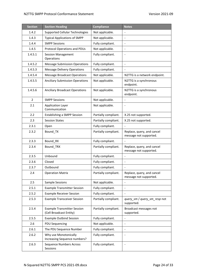| <b>Section</b> | <b>Section Heading</b>                                        | <b>Compliance</b>    | <b>Notes</b>                                         |
|----------------|---------------------------------------------------------------|----------------------|------------------------------------------------------|
| 1.4.2          | <b>Supported Cellular Technologies</b>                        | Not applicable.      |                                                      |
| 1.4.3          | <b>Typical Applications of SMPP</b>                           | Not applicable.      | $\overline{\phantom{a}}$                             |
| 1.4.4          | <b>SMPP Sessions</b>                                          | Fully compliant.     | $\overline{a}$                                       |
| 1.4.5          | Protocol Operations and PDUs                                  | Not applicable.      |                                                      |
| 1.4.5.1        | <b>Session Management</b><br>Operations                       | Fully compliant.     |                                                      |
| 1.4.5.2        | <b>Message Submission Operations</b>                          | Fully compliant.     | $\overline{\phantom{a}}$                             |
| 1.4.5.3        | <b>Message Delivery Operations</b>                            | Fully compliant.     |                                                      |
| 1.4.5.4        | <b>Message Broadcast Operations</b>                           | Not applicable.      | N2TTG is a network endpoint.                         |
| 1.4.5.5        | <b>Anciliary Submission Operations</b>                        | Not applicable.      | N2TTG is a synchronous<br>endpoint.                  |
| 1.4.5.6        | <b>Anciliary Broadcast Operations</b>                         | Not applicable.      | N2TTG is a synchronous<br>endpoint.                  |
| $\overline{2}$ | <b>SMPP Sessions</b>                                          | Not applicable.      | $\overline{a}$                                       |
| 2.1            | <b>Application Layer</b><br>Communication                     | Not applicable.      | $\overline{a}$                                       |
| 2.2            | <b>Establishing a SMPP Session</b>                            | Partially compliant. | X.25 not supported.                                  |
| 2.3            | <b>Session States</b>                                         | Partially compliant. | X.25 not supported.                                  |
| 2.3.1          | Open                                                          | Fully compliant.     |                                                      |
| 2.3.2          | Bound_TX                                                      | Partially compliant. | Replace, query, and cancel<br>message not supported. |
| 2.3.3          | Bound_RX                                                      | Fully compliant.     |                                                      |
| 2.3.4          | Bound_TRX                                                     | Partially compliant. | Replace, query, and cancel<br>message not supported. |
| 2.3.5          | Unbound                                                       | Fully compliant.     |                                                      |
| 2.3.6          | Closed                                                        | Fully compliant.     |                                                      |
| 2.3.7          | Outbound                                                      | Fully compliant.     | $\qquad \qquad \blacksquare$                         |
| 2.4            | <b>Operation Matrix</b>                                       | Partially compliant. | Replace, query, and cancel<br>message not supported. |
| 2.5            | <b>Sample Sessions</b>                                        | Not applicable.      |                                                      |
| 2.5.1          | <b>Example Transmitter Session</b>                            | Fully compliant.     |                                                      |
| 2.5.2          | <b>Example Receiver Session</b>                               | Fully compliant.     |                                                      |
| 2.5.3          | <b>Example Transceiver Session</b>                            | Partially compliant. | query_sm / query_sm_resp not<br>supported.           |
| 2.5.4          | <b>Example Transmitter Session</b><br>(Cell Broadcast Entity) | Partially compliant. | Broadcast messages not<br>supported.                 |
| 2.5.5          | <b>Example Outbind Session</b>                                | Fully compliant.     |                                                      |
| 2.6            | <b>PDU Sequencing</b>                                         | Not applicable.      |                                                      |
| 2.6.1          | The PDU Sequence Number                                       | Fully compliant.     | $\qquad \qquad \blacksquare$                         |
| 2.6.2          | Why use Monotonically<br>Increasing Sequence numbers?         | Fully compliant.     | $\qquad \qquad \blacksquare$                         |
| 2.6.3          | Sequence Numbers Across<br>Sessions                           | Fully compliant.     | $\qquad \qquad \blacksquare$                         |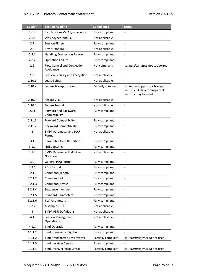| <b>Section</b> | <b>Section Heading</b>                   | <b>Compliance</b>    | <b>Notes</b>                                                                               |
|----------------|------------------------------------------|----------------------|--------------------------------------------------------------------------------------------|
| 2.6.4          | Synchronous Vs. Asynchronous             | Fully compliant.     |                                                                                            |
| 2.6.5          | Why Asynchronous?                        | Not applicable.      | $\overline{\phantom{a}}$                                                                   |
| 2.7            | <b>Session Timers</b>                    | Fully compliant.     | $\overline{\phantom{a}}$                                                                   |
| 2.8            | <b>Error Handling</b>                    | Not applicable.      |                                                                                            |
| 2.8.1          | <b>Handling Connection Failure</b>       | Fully compliant.     |                                                                                            |
| 2.8.2          | <b>Operation Failure</b>                 | Fully compliant.     | $\overline{\phantom{a}}$                                                                   |
| 2.9            | Flow Control and Congestion<br>Avoidance | Not compliant.       | congestion state not supported.                                                            |
| 2.10           | Session Security and Encryption          | Not applicable.      | $\overline{\phantom{a}}$                                                                   |
| 2.10.1         | <b>Leased Lines</b>                      | Not applicable.      |                                                                                            |
| 2.10.2         | Secure Transport Layer                   | Partially compliant  | No native support for transport<br>security. OS-level transparent<br>security may be used. |
| 2.10.3         | Secure VPN                               | Not applicable.      | $\overline{\phantom{a}}$                                                                   |
| 2.10.4         | Secure Tunnel                            | Not applicable.      | $\overline{\phantom{a}}$                                                                   |
| 2.11           | Forward and Backward<br>Compatibility    | Fully compliant.     |                                                                                            |
| 2.11.1         | <b>Forward Compatibility</b>             | Fully compliant.     |                                                                                            |
| 2.11.2         | <b>Backward Compatibility</b>            | Fully compliant.     |                                                                                            |
| 3              | SMPP Parameter and PDU<br>Format         | Not applicable.      | $\overline{\phantom{a}}$                                                                   |
| 3.1            | Parameter Type Definitions               | Fully compliant.     | $\frac{1}{2}$                                                                              |
| 3.1.1          | <b>NULL Settings</b>                     | Fully compliant.     | $\overline{\phantom{a}}$                                                                   |
| 3.1.2          | SMPP Parameter Field Size<br>Notation    | Not applicable.      |                                                                                            |
| 3.2            | <b>General PDU Format</b>                | Fully compliant.     | $\overline{\phantom{a}}$                                                                   |
| 3.2.1          | <b>PDU Format</b>                        | Fully compliant.     | $\overline{\phantom{a}}$                                                                   |
| 3.2.1.1        | Command_length                           | Fully compliant.     | $\overline{\phantom{a}}$                                                                   |
| 3.2.1.2        | Command id                               | Fully compliant.     |                                                                                            |
| 3.2.1.3        | Command_status                           | Fully compliant.     |                                                                                            |
| 3.2.1.4        | Sequence_number                          | Fully compliant.     | $\blacksquare$                                                                             |
| 3.2.1.5        | <b>Standard Parameters</b>               | Fully compliant.     | $\blacksquare$                                                                             |
| 3.2.1.6        | <b>TLV Parameters</b>                    | Fully compliant.     | $\overline{\phantom{a}}$                                                                   |
| 3.2.2          | A sample PDU                             | Not applicable.      | $\overline{\phantom{a}}$                                                                   |
| 4              | <b>SMPP PDU Definitions</b>              | Not applicable.      |                                                                                            |
| 4.1            | <b>Session Management</b><br>Operations  | Not applicable.      | $\overline{\phantom{a}}$                                                                   |
| 4.1.1          | <b>Bind Operation</b>                    | Fully compliant.     | $\blacksquare$                                                                             |
| 4.1.1.1        | bind_transmitter Syntax                  | Fully compliant.     |                                                                                            |
| 4.1.1.2        | bind_transmitter_resp Syntax             | Partially compliant. | sc_interface_version not used.                                                             |
| 4.1.1.3        | bind_receiver Syntax                     | Fully compliant.     |                                                                                            |
| 4.1.1.4        | bind_receiver_resp Syntax                | Partially compliant. | sc_interface_version not used.                                                             |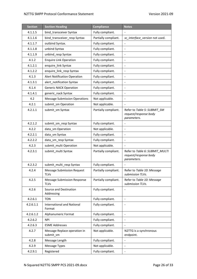| <b>Section</b> | <b>Section Heading</b>                            | <b>Compliance</b>    | <b>Notes</b>                                                           |
|----------------|---------------------------------------------------|----------------------|------------------------------------------------------------------------|
| 4.1.1.5        | bind transceiver Syntax                           | Fully compliant.     |                                                                        |
| 4.1.1.6        | bind_transceiver_resp Syntax                      | Partially compliant. | sc_interface_version not used.                                         |
| 4.1.1.7        | outbind Syntax.                                   | Fully compliant.     | $\overline{a}$                                                         |
| 4.1.1.8        | unbind Syntax                                     | Fully compliant.     |                                                                        |
| 4.1.1.9        | unbind_resp Syntax                                | Fully compliant.     |                                                                        |
| 4.1.2          | <b>Enquire Link Operation</b>                     | Fully compliant.     |                                                                        |
| 4.1.2.1        | enquire_link Syntax                               | Fully compliant.     | $\qquad \qquad \blacksquare$                                           |
| 4.1.2.2        | enquire_link_resp Syntax                          | Fully compliant.     | $\qquad \qquad \blacksquare$                                           |
| 4.1.3          | <b>Alert Notification Operation</b>               | Fully compliant.     | $\qquad \qquad \blacksquare$                                           |
| 4.1.3.1        | alert_notification Syntax                         | Fully compliant.     |                                                                        |
| 4.1.4          | <b>Generic NACK Operation</b>                     | Fully compliant.     | $\qquad \qquad \blacksquare$                                           |
| 4.1.4.1        | generic_nack Syntax                               | Fully compliant.     | $\frac{1}{2}$                                                          |
| 4.2            | <b>Message Submission Operations</b>              | Not applicable.      | $\qquad \qquad \blacksquare$                                           |
| 4.2.1          | submit sm Operation                               | Not applicable.      |                                                                        |
| 4.2.1.1        | submit_sm Syntax                                  | Partially compliant. | Refer to Table 5: SUBMIT_SM<br>request/response body<br>parameters.    |
| 4.2.1.2        | submit_sm_resp Syntax                             | Fully compliant.     |                                                                        |
| 4.2.2          | data_sm Operation                                 | Not applicable.      | $\frac{1}{2}$                                                          |
| 4.2.2.1        | data_sm Syntax                                    | Fully compliant.     | $\qquad \qquad \blacksquare$                                           |
| 4.2.2.2        | data_sm_resp Syntax                               | Fully compliant.     |                                                                        |
| 4.2.3          | submit_multi Operation                            | Not applicable.      |                                                                        |
| 4.2.3.1        | submit_multi Syntax                               | Partially compliant. | Refer to Table 6: SUBMIT MULTI<br>request/response body<br>parameters. |
| 4.2.3.2        | submit_multi_resp Syntax                          | Fully compliant.     |                                                                        |
| 4.2.4          | <b>Message Submission Request</b><br><b>TLVs</b>  | Partially compliant. | Refer to Table 10: Message<br>submission TLVs.                         |
| 4.2.5          | <b>Message Submission Response</b><br><b>TLVs</b> | Partially compliant. | Refer to Table 10: Message<br>submission TLVs.                         |
| 4.2.6          | Source and Destination<br>Addressing              | Fully compliant.     |                                                                        |
| 4.2.6.1        | <b>TON</b>                                        | Fully compliant.     |                                                                        |
| 4.2.6.1.1      | <b>International and National</b><br>Format       | Fully compliant.     | $\qquad \qquad \blacksquare$                                           |
| 4.2.6.1.2      | Alphanumeric Format                               | Fully compliant.     |                                                                        |
| 4.2.6.2        | <b>NPI</b>                                        | Fully compliant.     |                                                                        |
| 4.2.6.3        | <b>ESME Addresses</b>                             | Fully compliant.     |                                                                        |
| 4.2.7          | Message Replace operation in<br>submit_sm         | Not applicable.      | N2TTG is a synchronous<br>endpoint.                                    |
| 4.2.8          | Message Length                                    | Fully compliant.     | $\qquad \qquad \blacksquare$                                           |
| 4.2.9          | Message Types                                     | Not applicable.      |                                                                        |
| 4.2.9.1        | Registered                                        | Fully compliant.     |                                                                        |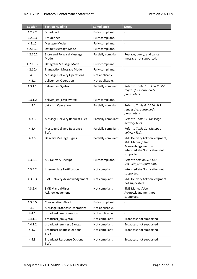| <b>Section</b> | <b>Section Heading</b>                            | <b>Compliance</b>    | <b>Notes</b>                                                                                                                  |
|----------------|---------------------------------------------------|----------------------|-------------------------------------------------------------------------------------------------------------------------------|
| 4.2.9.2        | Scheduled                                         | Fully compliant.     | $\frac{1}{2}$                                                                                                                 |
| 4.2.9.3        | Pre-defined                                       | Fully compliant.     | $\overline{a}$                                                                                                                |
| 4.2.10         | <b>Message Modes</b>                              | Fully compliant.     | $\overline{\phantom{a}}$                                                                                                      |
| 4.2.10.1       | Default Message Mode                              | Fully compliant.     |                                                                                                                               |
| 4.2.10.2       | <b>Store and Forward Message</b><br>Mode          | Partially compliant. | Replace, query, and cancel<br>message not supported.                                                                          |
| 4.2.10.3       | Datagram Message Mode                             | Fully compliant.     | $\overline{a}$                                                                                                                |
| 4.2.10.4       | <b>Transaction Message Mode</b>                   | Fully compliant.     | $\overline{a}$                                                                                                                |
| 4.3            | <b>Message Delivery Operations</b>                | Not applicable.      | $\overline{a}$                                                                                                                |
| 4.3.1          | deliver_sm Operation                              | Not applicable.      |                                                                                                                               |
| 4.3.1.1        | deliver_sm Syntax                                 | Partially compliant. | Refer to Table 7: DELIVER SM<br>request/response body<br>parameters.                                                          |
| 4.3.1.2        | deliver_sm_resp Syntax                            | Fully compliant.     |                                                                                                                               |
| 4.3.2          | data sm Operation                                 | Partially compliant. | Refer to Table 8: DATA_SM<br>request/response body<br>parameters.                                                             |
| 4.3.3          | Message Delivery Request TLVs                     | Partially compliant. | Refer to Table 11: Message<br>delivery TLVs.                                                                                  |
| 4.3.4          | Message Delivery Response<br><b>TLVs</b>          | Partially compliant. | Refer to Table 11: Message<br>delivery TLVs.                                                                                  |
| 4.3.5          | Delivery Message Types                            | Partially compliant. | SME Delivery Acknowledgment,<br><b>SME Manual/User</b><br>Acknowledgement, and<br>Intermediate Notification not<br>supported. |
| 4.3.5.1        | MC Delivery Receipt                               | Fully compliant.     | Refer to section 4.3.1.4:<br>DELIVER_SM Operation.                                                                            |
| 4.3.5.2        | Intermediate Notification                         | Not compliant.       | Intermediate Notification not<br>supported.                                                                                   |
| 4.3.5.3        | SME Delivery Acknowledgement                      | Not compliant.       | <b>SME Delivery Acknowledgment</b><br>not supported.                                                                          |
| 4.3.5.4        | <b>SME Manual/User</b><br>Acknowledgement         | Not compliant.       | <b>SME Manual/User</b><br>Acknowledgement not<br>supported.                                                                   |
| 4.3.5.5        | <b>Conversation Abort</b>                         | Fully compliant.     |                                                                                                                               |
| 4.4            | <b>Message Broadcast Operations</b>               | Not applicable.      |                                                                                                                               |
| 4.4.1          | broadcast_sm Operation                            | Not applicable.      | $\overline{\phantom{a}}$                                                                                                      |
| 4.4.1.1        | broadcast_sm Syntax                               | Not compliant.       | Broadcast not supported.                                                                                                      |
| 4.4.1.2        | broadcast_sm_resp Syntax                          | Not compliant.       | Broadcast not supported.                                                                                                      |
| 4.4.2          | <b>Broadcast Request Optional</b><br><b>TLVs</b>  | Not compliant.       | Broadcast not supported.                                                                                                      |
| 4.4.3          | <b>Broadcast Response Optional</b><br><b>TLVs</b> | Not compliant.       | Broadcast not supported.                                                                                                      |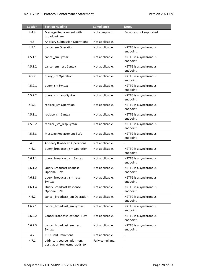| <b>Section</b> | <b>Section Heading</b>                                     | <b>Compliance</b> | <b>Notes</b>                        |
|----------------|------------------------------------------------------------|-------------------|-------------------------------------|
| 4.4.4          | Message Replacement with<br>broadcast_sm                   | Not compliant.    | Broadcast not supported.            |
| 4.5            | <b>Ancillary Submission Operations</b>                     | Not applicable.   |                                     |
| 4.5.1          | cancel_sm Operation                                        | Not applicable.   | N2TTG is a synchronous<br>endpoint. |
| 4.5.1.1        | cancel_sm Syntax                                           | Not applicable.   | N2TTG is a synchronous<br>endpoint. |
| 4.5.1.2        | cancel sm resp Syntax                                      | Not applicable.   | N2TTG is a synchronous<br>endpoint. |
| 4.5.2          | query_sm Operation                                         | Not applicable.   | N2TTG is a synchronous<br>endpoint. |
| 4.5.2.1        | query_sm Syntax                                            | Not applicable.   | N2TTG is a synchronous<br>endpoint. |
| 4.5.2.2        | query sm resp Syntax                                       | Not applicable.   | N2TTG is a synchronous<br>endpoint. |
| 4.5.3          | replace_sm Operation                                       | Not applicable.   | N2TTG is a synchronous<br>endpoint. |
| 4.5.3.1        | replace_sm Syntax                                          | Not applicable.   | N2TTG is a synchronous<br>endpoint. |
| 4.5.3.2        | replace_sm_resp Syntax                                     | Not applicable.   | N2TTG is a synchronous<br>endpoint. |
| 4.5.3.3        | <b>Message Replacement TLVs</b>                            | Not applicable.   | N2TTG is a synchronous<br>endpoint. |
| 4.6            | <b>Ancillary Broadcast Operations</b>                      | Not applicable.   |                                     |
| 4.6.1          | query_broadcast_sm Operation                               | Not applicable.   | N2TTG is a synchronous<br>endpoint. |
| 4.6.1.1        | query broadcast sm Syntax                                  | Not applicable.   | N2TTG is a synchronous<br>endpoint. |
| 4.6.1.2        | Query Broadcast Request<br><b>Optional TLVs</b>            | Not applicable.   | N2TTG is a synchronous<br>endpoint. |
| 4.6.1.3        | query_broadcast_sm_resp<br>Syntax                          | Not applicable.   | N2TTG is a synchronous<br>endpoint. |
| 4.6.1.4        | Query Broadcast Response<br><b>Optional TLVs</b>           | Not applicable.   | N2TTG is a synchronous<br>endpoint. |
| 4.6.2          | cancel_broadcast_sm Operation                              | Not applicable.   | N2TTG is a synchronous<br>endpoint. |
| 4.6.2.1        | cancel_broadcast_sm Syntax                                 | Not applicable.   | N2TTG is a synchronous<br>endpoint. |
| 4.6.2.2        | Cancel Broadcast Optional TLVs                             | Not applicable.   | N2TTG is a synchronous<br>endpoint. |
| 4.6.2.3        | cancel_broadcast_sm_resp<br>Syntax                         | Not applicable.   | N2TTG is a synchronous<br>endpoint. |
| 4.7            | <b>PDU Field Definitions</b>                               | Not applicable.   |                                     |
| 4.7.1          | addr_ton, source_addr_ton,<br>dest_addr_ton, esme_addr_ton | Fully compliant.  |                                     |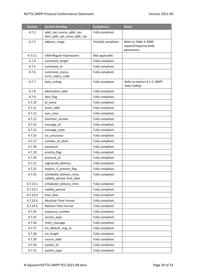| <b>Section</b> | <b>Section Heading</b>                                     | <b>Compliance</b>    | <b>Notes</b>                                                   |
|----------------|------------------------------------------------------------|----------------------|----------------------------------------------------------------|
| 4.7.2          | addr_npi, source_addr_npi,<br>dest_addr_npi, esme_addr_npi | Fully compliant.     |                                                                |
| 4.7.3          | address_range                                              | Partially compliant. | Refer to Table 3: BIND<br>request/response body<br>parameters. |
| 4.7.3.1        | <b>UNIX Regular Expressions</b>                            | Not applicable.      |                                                                |
| 4.7.4          | command length                                             | Fully compliant.     |                                                                |
| 4.7.5          | command id                                                 | Fully compliant.     |                                                                |
| 4.7.6          | command_status,<br>error_status_code                       | Fully compliant.     |                                                                |
| 4.7.7          | data_coding                                                | Fully compliant.     | Refer to section 4.1.5: SMPP<br>Data Coding.                   |
| 4.7.8          | destination addr                                           | Fully compliant.     | $\overline{\phantom{a}}$                                       |
| 4.7.9          | dest_flag                                                  | Fully compliant.     |                                                                |
| 4.7.10         | dl name                                                    | Fully compliant.     |                                                                |
| 4.7.11         | esme addr                                                  | Fully compliant.     | $\overline{\phantom{a}}$                                       |
| 4.7.12         | esm_class                                                  | Fully compliant.     | $\blacksquare$                                                 |
| 4.7.13         | interface_version                                          | Fully compliant.     | $\overline{\phantom{a}}$                                       |
| 4.7.14         | message_id                                                 | Fully compliant.     | $\overline{\phantom{a}}$                                       |
| 4.7.15         | message_state                                              | Fully compliant.     |                                                                |
| 4.7.16         | no_unsuccess                                               | Fully compliant.     | $\overline{\phantom{a}}$                                       |
| 4.7.17         | number_of_dests                                            | Fully compliant.     | $\blacksquare$                                                 |
| 4.7.18         | password                                                   | Fully compliant.     | $\overline{\phantom{a}}$                                       |
| 4.7.19         | priority_flag                                              | Fully compliant.     |                                                                |
| 4.7.20         | protocol_id                                                | Fully compliant.     | $\overline{\phantom{a}}$                                       |
| 4.7.21         | registered_delivery                                        | Fully compliant.     | $\overline{\phantom{a}}$                                       |
| 4.7.22         | replace_if_present_flag                                    | Fully compliant.     | $\overline{\phantom{a}}$                                       |
| 4.7.23         | scheduled_delivery_time,<br>validity_period, final_date    | Fully compliant.     | $\overline{\phantom{a}}$                                       |
| 4.7.23.1       | scheduled_delivery_time                                    | Fully compliant.     |                                                                |
| 4.7.23.2       | validity period                                            | Fully compliant.     |                                                                |
| 4.7.23.3       | final_date                                                 | Fully compliant.     | $\overline{\phantom{a}}$                                       |
| 4.7.23.4       | Absolute Time Format                                       | Fully compliant.     | $\overline{\phantom{a}}$                                       |
| 4.7.23.5       | Relative Time Format                                       | Fully compliant.     |                                                                |
| 4.7.24         | sequence_number                                            | Fully compliant.     |                                                                |
| 4.7.25         | service_type                                               | Fully compliant.     | $\overline{\phantom{a}}$                                       |
| 4.7.26         | short_message                                              | Fully compliant.     | $\overline{\phantom{a}}$                                       |
| 4.7.27         | sm_default_msg_id                                          | Fully compliant.     | $\overline{\phantom{a}}$                                       |
| 4.7.28         | sm_length                                                  | Fully compliant.     |                                                                |
| 4.7.29         | source_addr                                                | Fully compliant.     |                                                                |
| 4.7.30         | system_id                                                  | Fully compliant.     | $\blacksquare$                                                 |
| 4.7.31         | system_type                                                | Fully compliant.     | $\overline{\phantom{a}}$                                       |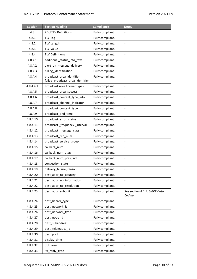| <b>Section</b> | <b>Section Heading</b>                                         | <b>Compliance</b> | <b>Notes</b>                            |
|----------------|----------------------------------------------------------------|-------------------|-----------------------------------------|
| 4.8            | <b>PDU TLV Definitions</b>                                     | Fully compliant.  |                                         |
| 4.8.1          | <b>TLV Tag</b>                                                 | Fully compliant.  | $\overline{\phantom{a}}$                |
| 4.8.2          | TLV Length                                                     | Fully compliant.  | $\blacksquare$                          |
| 4.8.3          | <b>TLV Value</b>                                               | Fully compliant.  | $\overline{\phantom{a}}$                |
| 4.8.4          | <b>TLV Definitions</b>                                         | Fully compliant.  | $\overline{\phantom{a}}$                |
| 4.8.4.1        | additional_status_info_text                                    | Fully compliant.  | $\blacksquare$                          |
| 4.8.4.2        | alert on message delivery                                      | Fully compliant.  | $\blacksquare$                          |
| 4.8.4.3        | billing identification                                         | Fully compliant.  | $\overline{\phantom{a}}$                |
| 4.8.4.4        | broadcast area identifier,<br>failed_broadcast_area_identifier | Fully compliant.  |                                         |
| 4.8.4.4.1      | <b>Broadcast Area Format types</b>                             | Fully compliant.  | $\overline{\phantom{a}}$                |
| 4.8.4.5        | broadcast_area_success                                         | Fully compliant.  | $\overline{\phantom{a}}$                |
| 4.8.4.6        | broadcast_content_type_info                                    | Fully compliant.  | $\overline{\phantom{a}}$                |
| 4.8.4.7        | broadcast channel indicator                                    | Fully compliant.  | $\overline{\phantom{a}}$                |
| 4.8.4.8        | broadcast_content_type                                         | Fully compliant.  |                                         |
| 4.8.4.9        | broadcast_end_time                                             | Fully compliant.  | $\blacksquare$                          |
| 4.8.4.10       | broadcast error status                                         | Fully compliant.  | $\blacksquare$                          |
| 4.8.4.11       | broadcast_frequency_interval                                   | Fully compliant.  | $\overline{\phantom{a}}$                |
| 4.8.4.12       | broadcast_message_class                                        | Fully compliant.  | $\overline{\phantom{a}}$                |
| 4.8.4.13       | broadcast_rep_num                                              | Fully compliant.  |                                         |
| 4.8.4.14       | broadcast_service_group                                        | Fully compliant.  | $\blacksquare$                          |
| 4.8.4.15       | callback num                                                   | Fully compliant.  | $\blacksquare$                          |
| 4.8.4.16       | callback_num_atag                                              | Fully compliant.  | $\overline{\phantom{a}}$                |
| 4.8.4.17       | callback_num_pres_ind                                          | Fully compliant.  | $\overline{\phantom{a}}$                |
| 4.8.4.18       | congestion_state                                               | Fully compliant.  | $\overline{\phantom{a}}$                |
| 4.8.4.19       | delivery_failure_reason                                        | Fully compliant.  | $\blacksquare$                          |
| 4.8.4.20       | dest_addr_np_country                                           | Fully compliant.  | $\blacksquare$                          |
| 4.8.4.21       | dest_addr_np_information                                       | Fully compliant.  |                                         |
| 4.8.4.22       | dest_addr_np_resolution                                        | Fully compliant.  |                                         |
| 4.8.4.23       | dest addr subunit                                              | Fully compliant.  | See section 4.1.5: SMPP Data<br>Coding. |
| 4.8.4.24       | dest_bearer_type                                               | Fully compliant.  |                                         |
| 4.8.4.25       | dest_network_id                                                | Fully compliant.  | $\overline{\phantom{a}}$                |
| 4.8.4.26       | dest_network_type                                              | Fully compliant.  | $\overline{\phantom{a}}$                |
| 4.8.4.27       | dest_node_id                                                   | Fully compliant.  |                                         |
| 4.8.4.28       | dest_subaddress                                                | Fully compliant.  |                                         |
| 4.8.4.29       | dest_telematics_id                                             | Fully compliant.  | $\overline{\phantom{a}}$                |
| 4.8.4.30       | dest_port                                                      | Fully compliant.  |                                         |
| 4.8.4.31       | display_time                                                   | Fully compliant.  | $\overline{\phantom{a}}$                |
| 4.8.4.32       | dpf_result                                                     | Fully compliant.  |                                         |
| 4.8.4.33       | its_reply_type                                                 | Fully compliant.  |                                         |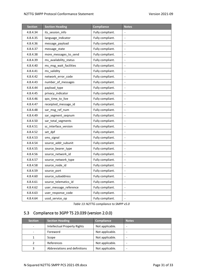| <b>Section</b> | <b>Section Heading</b> | <b>Compliance</b> | <b>Notes</b>                 |
|----------------|------------------------|-------------------|------------------------------|
| 4.8.4.34       | its_session_info       | Fully compliant.  | $\blacksquare$               |
| 4.8.4.35       | language_indicator     | Fully compliant.  | $\overline{\phantom{a}}$     |
| 4.8.4.36       | message_payload        | Fully compliant.  |                              |
| 4.8.4.37       | message_state          | Fully compliant.  | $\qquad \qquad \blacksquare$ |
| 4.8.4.38       | more_messages_to_send  | Fully compliant.  | $\qquad \qquad \blacksquare$ |
| 4.8.4.39       | ms availability status | Fully compliant.  | $\qquad \qquad \blacksquare$ |
| 4.8.4.40       | ms msg wait facilities | Fully compliant.  | $\overline{\phantom{a}}$     |
| 4.8.4.41       | ms_validity            | Fully compliant.  |                              |
| 4.8.4.42       | network_error_code     | Fully compliant.  | $\qquad \qquad \blacksquare$ |
| 4.8.4.43       | number_of_messages     | Fully compliant.  | $\blacksquare$               |
| 4.8.4.44       | payload_type           | Fully compliant.  | $\qquad \qquad \blacksquare$ |
| 4.8.4.45       | privacy_indicator      | Fully compliant.  | $\qquad \qquad \blacksquare$ |
| 4.8.4.46       | qos_time_to_live       | Fully compliant.  |                              |
| 4.8.4.47       | receipted_message_id   | Fully compliant.  | $\blacksquare$               |
| 4.8.4.48       | sar_msg_ref_num        | Fully compliant.  | $\blacksquare$               |
| 4.8.4.49       | sar_segment_seqnum     | Fully compliant.  | $\qquad \qquad \blacksquare$ |
| 4.8.4.50       | sar_total_segments     | Fully compliant.  |                              |
| 4.8.4.51       | sc_interface_version   | Fully compliant.  |                              |
| 4.8.4.52       | set_dpf                | Fully compliant.  | $\qquad \qquad \blacksquare$ |
| 4.8.4.53       | sms_signal             | Fully compliant.  | $\qquad \qquad \blacksquare$ |
| 4.8.4.54       | source_addr_subunit    | Fully compliant.  | $\overline{\phantom{a}}$     |
| 4.8.4.55       | source_bearer_type     | Fully compliant.  |                              |
| 4.8.4.56       | source_network_id      | Fully compliant.  | $\overline{\phantom{a}}$     |
| 4.8.4.57       | source_network_type    | Fully compliant.  | $\blacksquare$               |
| 4.8.4.58       | source_node_id         | Fully compliant.  | $\qquad \qquad \blacksquare$ |
| 4.8.4.59       | source port            | Fully compliant.  | $\overline{\phantom{a}}$     |
| 4.8.4.60       | source_subaddress      | Fully compliant.  |                              |
| 4.8.4.61       | source_telematics_id   | Fully compliant.  | $\overline{\phantom{a}}$     |
| 4.8.4.62       | user message_reference | Fully compliant.  | $\qquad \qquad \blacksquare$ |
| 4.8.4.63       | user_response_code     | Fully compliant.  | $\overline{\phantom{a}}$     |
| 4.8.4.64       | ussd_service_op        | Fully compliant.  |                              |

*Table 13:N2TTG compliance to SMPP v5.0*

# <span id="page-30-0"></span>5.3 Compliance to 3GPP TS 23.039 (version 2.0.0)

| <b>Section</b> | <b>Section Heading</b>              | <b>Compliance</b> | <b>Notes</b>             |
|----------------|-------------------------------------|-------------------|--------------------------|
|                | <b>Intellectual Property Rights</b> | Not applicable.   | $\overline{\phantom{a}}$ |
|                | Foreword                            | Not applicable.   | -                        |
|                | Scope                               | Not applicable.   | -                        |
|                | References                          | Not applicable.   | $\overline{\phantom{0}}$ |
|                | Abbreviations and definitions       | Not applicable.   | -                        |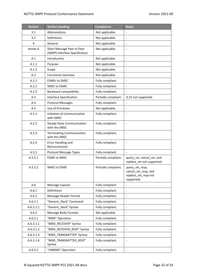| <b>Section</b> | <b>Section Heading</b>                                       | <b>Compliance</b>    | <b>Notes</b>                                                               |
|----------------|--------------------------------------------------------------|----------------------|----------------------------------------------------------------------------|
| 3.1            | Abbreviations                                                | Not applicable.      | $\overline{\phantom{a}}$                                                   |
| 3.2            | Definitions                                                  | Not applicable.      | $\blacksquare$                                                             |
| 4              | General                                                      | Not applicable.      | $\qquad \qquad \blacksquare$                                               |
| Annex A        | Short Message Peer to Peer<br>(SMPP) Interface Specification | Not applicable.      |                                                                            |
| A.1            | Introduction                                                 | Not applicable.      | $\frac{1}{2}$                                                              |
| A.1.1          | Purpose                                                      | Not applicable.      | $\blacksquare$                                                             |
| A.1.2          | Scope                                                        | Not applicable.      | $\overline{\phantom{a}}$                                                   |
| A.2            | <b>Functional overview</b>                                   | Not applicable.      | $\overline{\phantom{a}}$                                                   |
| A.2.1          | <b>ESMEs to SMSC</b>                                         | Fully compliant.     |                                                                            |
| A.2.2          | <b>SMSC to ESME</b>                                          | Fully compliant.     | $\blacksquare$                                                             |
| A.2.3          | Backward compatibility                                       | Fully compliant.     | $\blacksquare$                                                             |
| A.3            | Interface Specification                                      | Partially compliant. | X.25 not supported.                                                        |
| A.4            | <b>Protocol Messages</b>                                     | Fully compliant.     | $\qquad \qquad \blacksquare$                                               |
| A.5            | Use of Primitives                                            | Not applicable.      |                                                                            |
| A.5.1          | Initiation of Communication<br>with SMSC                     | Fully compliant.     | $\qquad \qquad \blacksquare$                                               |
| A.5.2          | <b>Steady-State Communication</b><br>with the SMSC           | Fully compliant.     | $\qquad \qquad \blacksquare$                                               |
| A.5.3          | <b>Terminating Communication</b><br>with the SMSC            | Fully compliant.     | $\overline{\phantom{0}}$                                                   |
| A.5.4          | Error Handling and<br>Retransmission                         | Fully compliant.     | $\overline{\phantom{0}}$                                                   |
| A.5.5          | <b>Protocol Message Types</b>                                | Fully compliant.     |                                                                            |
| A.5.5.1        | <b>ESME to SMSC</b>                                          | Partially compliant. | query sm, cancel sm, and<br>replace_sm not supported.                      |
| A.5.5.2        | <b>SMSC to ESME</b>                                          | Partially compliant. | query_sm_resp,<br>cancel_sm_resp, and<br>replace_sm_resp not<br>supported. |
| A.6            | Message Layouts                                              | Fully compliant.     | $\qquad \qquad -$                                                          |
| A.6.1          | Definitions                                                  | Fully compliant.     | $\qquad \qquad \blacksquare$                                               |
| A.6.2          | Message Header Format                                        | Fully compliant.     | $\qquad \qquad \blacksquare$                                               |
| A.6.2.1        | "Generic_Nack" Command                                       | Fully compliant.     | $\qquad \qquad -$                                                          |
| A.6.2.1.1      | "Generic_Nack" Syntax                                        | Fully compliant.     | $\overline{\phantom{0}}$                                                   |
| A.6.3          | Message Body Formats                                         | Not applicable.      | $\overline{\phantom{a}}$                                                   |
| A.6.3.1        | "BIND" Operation                                             | Fully compliant.     | $\qquad \qquad \blacksquare$                                               |
| A.6.3.1.1      | "BIND_RECEIVER" Syntax                                       | Fully compliant.     |                                                                            |
| A.6.3.1.2      | "BIND_RECEIVER_RESP" Syntax                                  | Fully compliant.     | $\qquad \qquad -$                                                          |
| A.6.3.1.3      | "BIND TRANSMITTER" Syntax                                    | Fully compliant.     | $\qquad \qquad -$                                                          |
| A.6.3.1.4      | "BIND_TRANSMITTER_RESP"<br>Syntax                            | Fully compliant.     | $\overline{\phantom{a}}$                                                   |
| A.6.3.2        | "UNBIND" Operation                                           | Fully compliant.     | $\qquad \qquad \blacksquare$                                               |